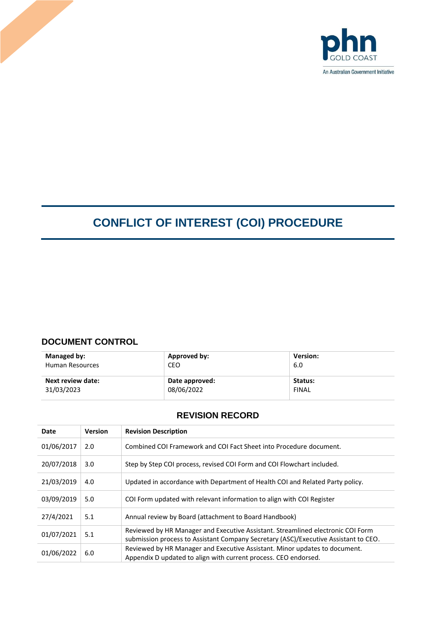

# **CONFLICT OF INTEREST (COI) PROCEDURE**

# **DOCUMENT CONTROL**

| Managed by:            | Approved by:   | <b>Version:</b> |
|------------------------|----------------|-----------------|
| <b>Human Resources</b> | CEO            | 6.0             |
| Next review date:      | Date approved: | Status:         |
| 31/03/2023             | 08/06/2022     | <b>FINAL</b>    |

# **REVISION RECORD**

| Date       | <b>Version</b> | <b>Revision Description</b>                                                                                                                                            |
|------------|----------------|------------------------------------------------------------------------------------------------------------------------------------------------------------------------|
| 01/06/2017 | 2.0            | Combined COI Framework and COI Fact Sheet into Procedure document.                                                                                                     |
| 20/07/2018 | 3.0            | Step by Step COI process, revised COI Form and COI Flowchart included.                                                                                                 |
| 21/03/2019 | 4.0            | Updated in accordance with Department of Health COI and Related Party policy.                                                                                          |
| 03/09/2019 | 5.0            | COI Form updated with relevant information to align with COI Register                                                                                                  |
| 27/4/2021  | 5.1            | Annual review by Board (attachment to Board Handbook)                                                                                                                  |
| 01/07/2021 | 5.1            | Reviewed by HR Manager and Executive Assistant. Streamlined electronic COI Form<br>submission process to Assistant Company Secretary (ASC)/Executive Assistant to CEO. |
| 01/06/2022 | 6.0            | Reviewed by HR Manager and Executive Assistant. Minor updates to document.<br>Appendix D updated to align with current process. CEO endorsed.                          |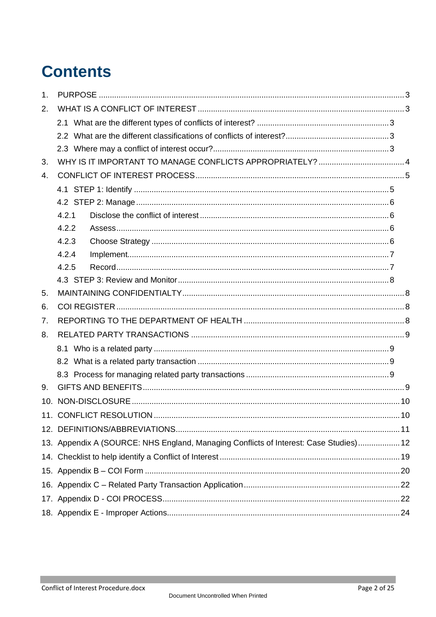# **Contents**

| 1 <sub>1</sub> |                                                                                       |  |
|----------------|---------------------------------------------------------------------------------------|--|
| 2.             |                                                                                       |  |
|                |                                                                                       |  |
|                |                                                                                       |  |
|                |                                                                                       |  |
| 3.             |                                                                                       |  |
| 4.             |                                                                                       |  |
|                |                                                                                       |  |
|                |                                                                                       |  |
|                | 4.2.1                                                                                 |  |
|                | 4.2.2                                                                                 |  |
|                | 4.2.3                                                                                 |  |
|                | 4.2.4                                                                                 |  |
|                | 4.2.5                                                                                 |  |
|                |                                                                                       |  |
| 5.             |                                                                                       |  |
| 6.             |                                                                                       |  |
| 7.             |                                                                                       |  |
| 8.             |                                                                                       |  |
|                |                                                                                       |  |
|                |                                                                                       |  |
|                |                                                                                       |  |
| 9.             |                                                                                       |  |
|                |                                                                                       |  |
|                |                                                                                       |  |
|                |                                                                                       |  |
|                | 13. Appendix A (SOURCE: NHS England, Managing Conflicts of Interest: Case Studies) 12 |  |
|                |                                                                                       |  |
|                |                                                                                       |  |
|                |                                                                                       |  |
|                |                                                                                       |  |
|                |                                                                                       |  |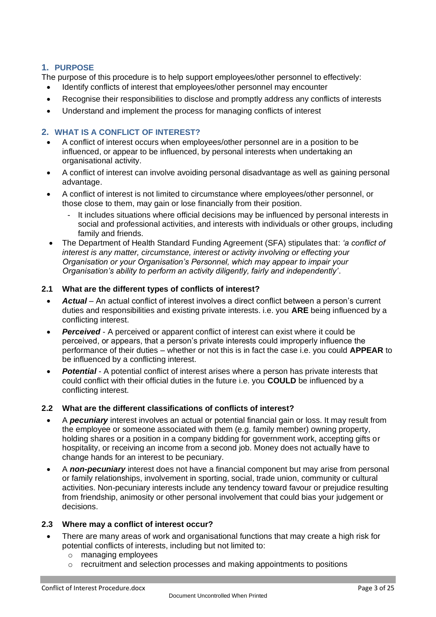# <span id="page-2-0"></span>**1. PURPOSE**

The purpose of this procedure is to help support employees/other personnel to effectively:

- Identify conflicts of interest that employees/other personnel may encounter
- Recognise their responsibilities to disclose and promptly address any conflicts of interests
- Understand and implement the process for managing conflicts of interest

#### <span id="page-2-1"></span>**2. WHAT IS A CONFLICT OF INTEREST?**

- A conflict of interest occurs when employees/other personnel are in a position to be influenced, or appear to be influenced, by personal interests when undertaking an organisational activity.
- A conflict of interest can involve avoiding personal disadvantage as well as gaining personal advantage.
- A conflict of interest is not limited to circumstance where employees/other personnel, or those close to them, may gain or lose financially from their position.
	- It includes situations where official decisions may be influenced by personal interests in social and professional activities, and interests with individuals or other groups, including family and friends.
- The Department of Health Standard Funding Agreement (SFA) stipulates that: *'a conflict of interest is any matter, circumstance, interest or activity involving or effecting your Organisation or your Organisation's Personnel, which may appear to impair your Organisation's ability to perform an activity diligently, fairly and independently'*.

#### <span id="page-2-2"></span>**2.1 What are the different types of conflicts of interest?**

- *Actual* An actual conflict of interest involves a direct conflict between a person's current duties and responsibilities and existing private interests. i.e. you **ARE** being influenced by a conflicting interest.
- *Perceived* A perceived or apparent conflict of interest can exist where it could be perceived, or appears, that a person's private interests could improperly influence the performance of their duties – whether or not this is in fact the case i.e. you could **APPEAR** to be influenced by a conflicting interest.
- **Potential** A potential conflict of interest arises where a person has private interests that could conflict with their official duties in the future i.e. you **COULD** be influenced by a conflicting interest.

#### <span id="page-2-3"></span>**2.2 What are the different classifications of conflicts of interest?**

- A *pecuniary* interest involves an actual or potential financial gain or loss. It may result from the employee or someone associated with them (e.g. family member) owning property, holding shares or a position in a company bidding for government work, accepting gifts or hospitality, or receiving an income from a second job. Money does not actually have to change hands for an interest to be pecuniary.
- A *non-pecuniary* interest does not have a financial component but may arise from personal or family relationships, involvement in sporting, social, trade union, community or cultural activities. Non-pecuniary interests include any tendency toward favour or prejudice resulting from friendship, animosity or other personal involvement that could bias your judgement or decisions.

#### <span id="page-2-4"></span>**2.3 Where may a conflict of interest occur?**

- There are many areas of work and organisational functions that may create a high risk for potential conflicts of interests, including but not limited to:
	- o managing employees
	- o recruitment and selection processes and making appointments to positions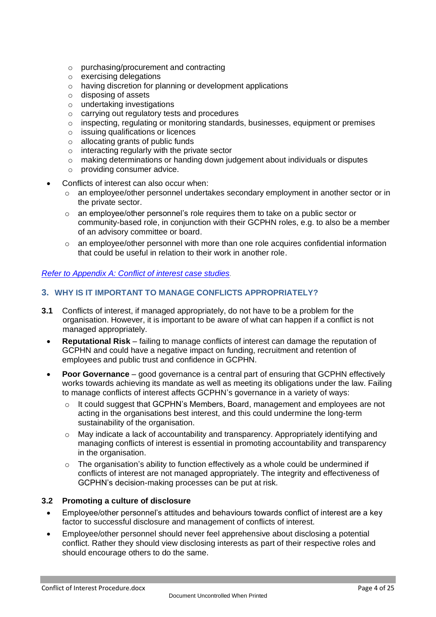- o purchasing/procurement and contracting
- o exercising delegations
- o having discretion for planning or development applications
- o disposing of assets
- o undertaking investigations
- o carrying out regulatory tests and procedures
- $\circ$  inspecting, regulating or monitoring standards, businesses, equipment or premises
- o issuing qualifications or licences
- $\circ$  allocating grants of public funds
- o interacting regularly with the private sector
- $\circ$  making determinations or handing down judgement about individuals or disputes
- o providing consumer advice.
- Conflicts of interest can also occur when:
	- $\circ$  an employee/other personnel undertakes secondary employment in another sector or in the private sector.
	- $\circ$  an employee/other personnel's role requires them to take on a public sector or community-based role, in conjunction with their GCPHN roles, e.g. to also be a member of an advisory committee or board.
	- o an employee/other personnel with more than one role acquires confidential information that could be useful in relation to their work in another role.

#### *Refer to Appendix A: [Conflict of interest case studies.](#page-10-1)*

#### <span id="page-3-0"></span>**3. WHY IS IT IMPORTANT TO MANAGE CONFLICTS APPROPRIATELY?**

- **3.1** Conflicts of interest, if managed appropriately, do not have to be a problem for the organisation. However, it is important to be aware of what can happen if a conflict is not managed appropriately.
	- **Reputational Risk** failing to manage conflicts of interest can damage the reputation of GCPHN and could have a negative impact on funding, recruitment and retention of employees and public trust and confidence in GCPHN.
	- **Poor Governance**  good governance is a central part of ensuring that GCPHN effectively works towards achieving its mandate as well as meeting its obligations under the law. Failing to manage conflicts of interest affects GCPHN's governance in a variety of ways:
		- o It could suggest that GCPHN's Members, Board, management and employees are not acting in the organisations best interest, and this could undermine the long-term sustainability of the organisation.
		- $\circ$  May indicate a lack of accountability and transparency. Appropriately identifying and managing conflicts of interest is essential in promoting accountability and transparency in the organisation.
		- o The organisation's ability to function effectively as a whole could be undermined if conflicts of interest are not managed appropriately. The integrity and effectiveness of GCPHN's decision-making processes can be put at risk.

#### **3.2 Promoting a culture of disclosure**

- Employee/other personnel's attitudes and behaviours towards conflict of interest are a key factor to successful disclosure and management of conflicts of interest.
- Employee/other personnel should never feel apprehensive about disclosing a potential conflict. Rather they should view disclosing interests as part of their respective roles and should encourage others to do the same.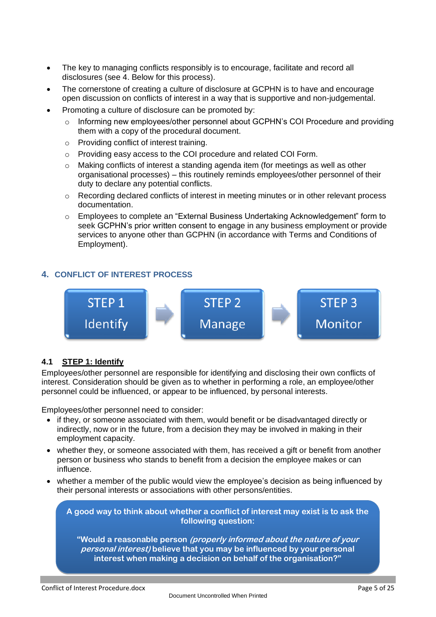- The key to managing conflicts responsibly is to encourage, facilitate and record all disclosures (see 4. Below for this process).
- The cornerstone of creating a culture of disclosure at GCPHN is to have and encourage open discussion on conflicts of interest in a way that is supportive and non-judgemental.
- Promoting a culture of disclosure can be promoted by:
	- $\circ$  Informing new employees/other personnel about GCPHN's COI Procedure and providing them with a copy of the procedural document.
	- o Providing conflict of interest training.
	- o Providing easy access to the COI procedure and related COI Form.
	- o Making conflicts of interest a standing agenda item (for meetings as well as other organisational processes) – this routinely reminds employees/other personnel of their duty to declare any potential conflicts.
	- $\circ$  Recording declared conflicts of interest in meeting minutes or in other relevant process documentation.
	- o Employees to complete an "External Business Undertaking Acknowledgement" form to seek GCPHN's prior written consent to engage in any business employment or provide services to anyone other than GCPHN (in accordance with Terms and Conditions of Employment).

# <span id="page-4-0"></span>**4. CONFLICT OF INTEREST PROCESS**



#### <span id="page-4-1"></span>**4.1 STEP 1: Identify**

Employees/other personnel are responsible for identifying and disclosing their own conflicts of interest. Consideration should be given as to whether in performing a role, an employee/other personnel could be influenced, or appear to be influenced, by personal interests.

Employees/other personnel need to consider:

- if they, or someone associated with them, would benefit or be disadvantaged directly or indirectly, now or in the future, from a decision they may be involved in making in their employment capacity.
- whether they, or someone associated with them, has received a gift or benefit from another person or business who stands to benefit from a decision the employee makes or can influence.
- whether a member of the public would view the employee's decision as being influenced by their personal interests or associations with other persons/entities.

**A good way to think about whether a conflict of interest may exist is to ask the following question:**

**"Would a reasonable person (properly informed about the nature of your personal interest) believe that you may be influenced by your personal interest when making a decision on behalf of the organisation?"**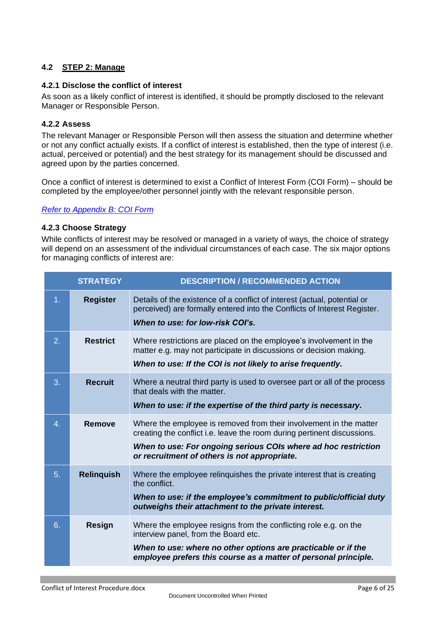# <span id="page-5-0"></span>**4.2 STEP 2: Manage**

#### <span id="page-5-1"></span>**4.2.1 Disclose the conflict of interest**

As soon as a likely conflict of interest is identified, it should be promptly disclosed to the relevant Manager or Responsible Person.

#### <span id="page-5-2"></span>**4.2.2 Assess**

The relevant Manager or Responsible Person will then assess the situation and determine whether or not any conflict actually exists. If a conflict of interest is established, then the type of interest (i.e. actual, perceived or potential) and the best strategy for its management should be discussed and agreed upon by the parties concerned.

Once a conflict of interest is determined to exist a Conflict of Interest Form (COI Form) – should be completed by the employee/other personnel jointly with the relevant responsible person.

#### <span id="page-5-3"></span>*[Refer to Appendix B: COI Form](#page-18-1)*

#### **4.2.3 Choose Strategy**

While conflicts of interest may be resolved or managed in a variety of ways, the choice of strategy will depend on an assessment of the individual circumstances of each case. The six major options for managing conflicts of interest are:

|    | <b>STRATEGY</b>   | <b>DESCRIPTION / RECOMMENDED ACTION</b>                                                                                                                                                                                                                         |
|----|-------------------|-----------------------------------------------------------------------------------------------------------------------------------------------------------------------------------------------------------------------------------------------------------------|
| 1. | <b>Register</b>   | Details of the existence of a conflict of interest (actual, potential or<br>perceived) are formally entered into the Conflicts of Interest Register.<br>When to use: for low-risk COI's.                                                                        |
| 2. | <b>Restrict</b>   | Where restrictions are placed on the employee's involvement in the<br>matter e.g. may not participate in discussions or decision making.<br>When to use: If the COI is not likely to arise frequently.                                                          |
| 3. | <b>Recruit</b>    | Where a neutral third party is used to oversee part or all of the process<br>that deals with the matter.<br>When to use: if the expertise of the third party is necessary.                                                                                      |
| 4. | <b>Remove</b>     | Where the employee is removed from their involvement in the matter<br>creating the conflict i.e. leave the room during pertinent discussions.<br>When to use: For ongoing serious COIs where ad hoc restriction<br>or recruitment of others is not appropriate. |
| 5. | <b>Relinguish</b> | Where the employee relinguishes the private interest that is creating<br>the conflict.<br>When to use: if the employee's commitment to public/official duty<br>outweighs their attachment to the private interest.                                              |
| 6. | <b>Resign</b>     | Where the employee resigns from the conflicting role e.g. on the<br>interview panel, from the Board etc.<br>When to use: where no other options are practicable or if the<br>employee prefers this course as a matter of personal principle.                    |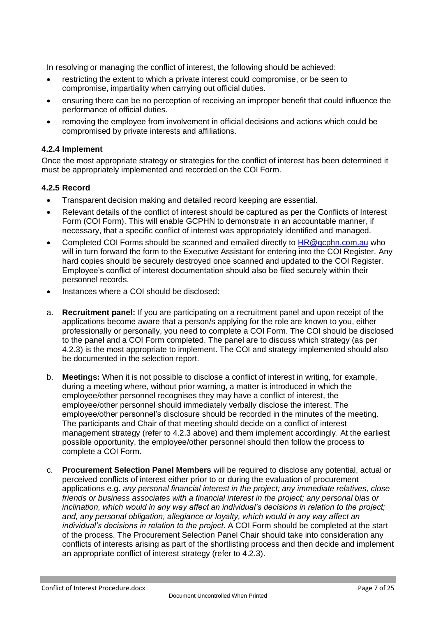In resolving or managing the conflict of interest, the following should be achieved:

- restricting the extent to which a private interest could compromise, or be seen to compromise, impartiality when carrying out official duties.
- ensuring there can be no perception of receiving an improper benefit that could influence the performance of official duties.
- removing the employee from involvement in official decisions and actions which could be compromised by private interests and affiliations.

#### <span id="page-6-0"></span>**4.2.4 Implement**

Once the most appropriate strategy or strategies for the conflict of interest has been determined it must be appropriately implemented and recorded on the COI Form.

#### <span id="page-6-1"></span>**4.2.5 Record**

- Transparent decision making and detailed record keeping are essential.
- Relevant details of the conflict of interest should be captured as per the Conflicts of Interest Form (COI Form). This will enable GCPHN to demonstrate in an accountable manner, if necessary, that a specific conflict of interest was appropriately identified and managed.
- Completed COI Forms should be scanned and emailed directly to [HR@gcphn.com.au](mailto:HR@gcphn.com.au) who will in turn forward the form to the Executive Assistant for entering into the COI Register. Any hard copies should be securely destroved once scanned and updated to the COI Register. Employee's conflict of interest documentation should also be filed securely within their personnel records.
- Instances where a COI should be disclosed:
- a. **Recruitment panel:** If you are participating on a recruitment panel and upon receipt of the applications become aware that a person/s applying for the role are known to you, either professionally or personally, you need to complete a COI Form. The COI should be disclosed to the panel and a COI Form completed. The panel are to discuss which strategy (as per 4.2.3) is the most appropriate to implement. The COI and strategy implemented should also be documented in the selection report.
- b. **Meetings:** When it is not possible to disclose a conflict of interest in writing, for example, during a meeting where, without prior warning, a matter is introduced in which the employee/other personnel recognises they may have a conflict of interest, the employee/other personnel should immediately verbally disclose the interest. The employee/other personnel's disclosure should be recorded in the minutes of the meeting. The participants and Chair of that meeting should decide on a conflict of interest management strategy (refer to 4.2.3 above) and them implement accordingly. At the earliest possible opportunity, the employee/other personnel should then follow the process to complete a COI Form.
- c. **Procurement Selection Panel Members** will be required to disclose any potential, actual or perceived conflicts of interest either prior to or during the evaluation of procurement applications e.g. *any personal financial interest in the project; any immediate relatives, close friends or business associates with a financial interest in the project; any personal bias or inclination, which would in any way affect an individual's decisions in relation to the project; and, any personal obligation, allegiance or loyalty, which would in any way affect an individual's decisions in relation to the project*. A COI Form should be completed at the start of the process. The Procurement Selection Panel Chair should take into consideration any conflicts of interests arising as part of the shortlisting process and then decide and implement an appropriate conflict of interest strategy (refer to 4.2.3).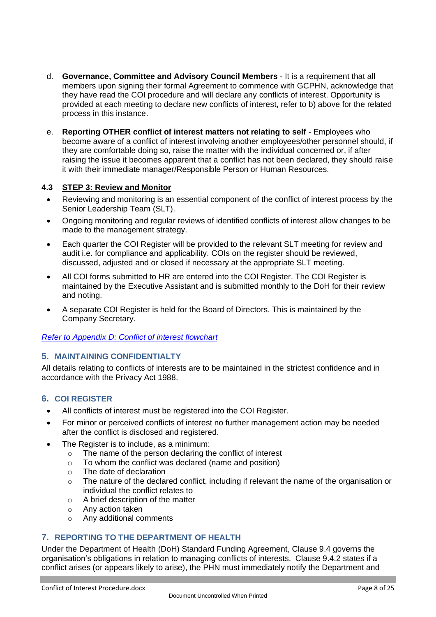- d. **Governance, Committee and Advisory Council Members** It is a requirement that all members upon signing their formal Agreement to commence with GCPHN, acknowledge that they have read the COI procedure and will declare any conflicts of interest. Opportunity is provided at each meeting to declare new conflicts of interest, refer to b) above for the related process in this instance.
- e. **Reporting OTHER conflict of interest matters not relating to self** Employees who become aware of a conflict of interest involving another employees/other personnel should, if they are comfortable doing so, raise the matter with the individual concerned or, if after raising the issue it becomes apparent that a conflict has not been declared, they should raise it with their immediate manager/Responsible Person or Human Resources.

#### <span id="page-7-0"></span>**4.3 STEP 3: Review and Monitor**

- Reviewing and monitoring is an essential component of the conflict of interest process by the Senior Leadership Team (SLT).
- Ongoing monitoring and regular reviews of identified conflicts of interest allow changes to be made to the management strategy.
- Each quarter the COI Register will be provided to the relevant SLT meeting for review and audit i.e. for compliance and applicability. COIs on the register should be reviewed, discussed, adjusted and or closed if necessary at the appropriate SLT meeting.
- All COI forms submitted to HR are entered into the COI Register. The COI Register is maintained by the Executive Assistant and is submitted monthly to the DoH for their review and noting.
- A separate COI Register is held for the Board of Directors. This is maintained by the Company Secretary.

#### *[Refer to Appendix D: Conflict of interest flowchart](#page-21-1)*

# <span id="page-7-1"></span>**5. MAINTAINING CONFIDENTIALTY**

All details relating to conflicts of interests are to be maintained in the strictest confidence and in accordance with the Privacy Act 1988.

#### <span id="page-7-2"></span>**6. COI REGISTER**

- All conflicts of interest must be registered into the COI Register.
- For minor or perceived conflicts of interest no further management action may be needed after the conflict is disclosed and registered.
- The Register is to include, as a minimum:
	- o The name of the person declaring the conflict of interest
	- o To whom the conflict was declared (name and position)
	- o The date of declaration
	- $\circ$  The nature of the declared conflict, including if relevant the name of the organisation or individual the conflict relates to
	- o A brief description of the matter
	- o Any action taken
	- o Any additional comments

# <span id="page-7-3"></span>**7. REPORTING TO THE DEPARTMENT OF HEALTH**

Under the Department of Health (DoH) Standard Funding Agreement, Clause 9.4 governs the organisation's obligations in relation to managing conflicts of interests. Clause 9.4.2 states if a conflict arises (or appears likely to arise), the PHN must immediately notify the Department and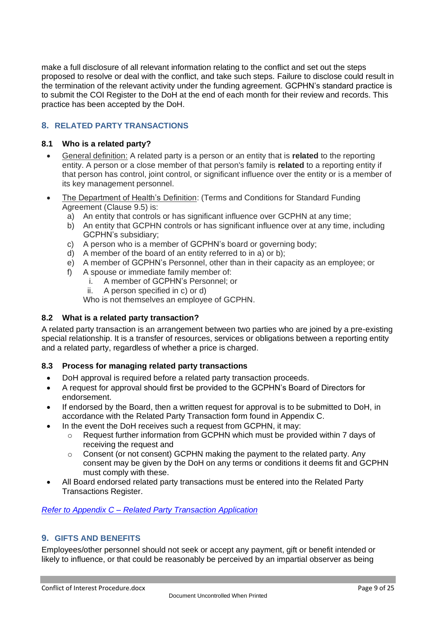make a full disclosure of all relevant information relating to the conflict and set out the steps proposed to resolve or deal with the conflict, and take such steps. Failure to disclose could result in the termination of the relevant activity under the funding agreement. GCPHN's standard practice is to submit the COI Register to the DoH at the end of each month for their review and records. This practice has been accepted by the DoH.

# <span id="page-8-0"></span>**8. RELATED PARTY TRANSACTIONS**

#### <span id="page-8-1"></span>**8.1 Who is a related party?**

- General definition: A related party is a person or an entity that is **related** to the reporting entity. A person or a close member of that person's family is **related** to a reporting entity if that person has control, joint control, or significant influence over the entity or is a member of its key management personnel.
- The Department of Health's Definition: (Terms and Conditions for Standard Funding Agreement (Clause 9.5) is:
	- a) An entity that controls or has significant influence over GCPHN at any time;
	- b) An entity that GCPHN controls or has significant influence over at any time, including GCPHN's subsidiary;
	- c) A person who is a member of GCPHN's board or governing body;
	- d) A member of the board of an entity referred to in a) or b);
	- e) A member of GCPHN's Personnel, other than in their capacity as an employee; or
	- f) A spouse or immediate family member of:
		- i. A member of GCPHN's Personnel; or
			- ii. A person specified in c) or d)

Who is not themselves an employee of GCPHN.

# <span id="page-8-2"></span>**8.2 What is a related party transaction?**

A related party transaction is an arrangement between two parties who are joined by a pre-existing special relationship. It is a transfer of resources, services or obligations between a reporting entity and a related party, regardless of whether a price is charged.

# <span id="page-8-3"></span>**8.3 Process for managing related party transactions**

- DoH approval is required before a related party transaction proceeds.
- A request for approval should first be provided to the GCPHN's Board of Directors for endorsement.
- If endorsed by the Board, then a written request for approval is to be submitted to DoH, in accordance with the Related Party Transaction form found in Appendix C.
- In the event the DoH receives such a request from GCPHN, it may:
	- $\circ$  Request further information from GCPHN which must be provided within 7 days of receiving the request and
	- o Consent (or not consent) GCPHN making the payment to the related party. Any consent may be given by the DoH on any terms or conditions it deems fit and GCPHN must comply with these.
- All Board endorsed related party transactions must be entered into the Related Party Transactions Register.

# *Refer to Appendix C – [Related Party Transaction Application](#page-21-0)*

# <span id="page-8-4"></span>**9. GIFTS AND BENEFITS**

Employees/other personnel should not seek or accept any payment, gift or benefit intended or likely to influence, or that could be reasonably be perceived by an impartial observer as being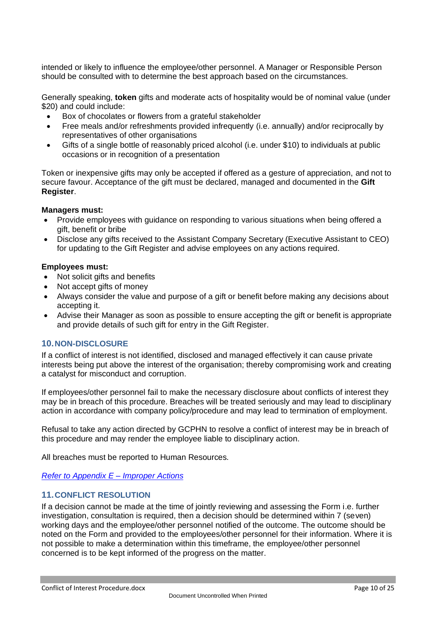intended or likely to influence the employee/other personnel. A Manager or Responsible Person should be consulted with to determine the best approach based on the circumstances.

Generally speaking, **token** gifts and moderate acts of hospitality would be of nominal value (under \$20) and could include:

- Box of chocolates or flowers from a grateful stakeholder
- Free meals and/or refreshments provided infrequently (i.e. annually) and/or reciprocally by representatives of other organisations
- Gifts of a single bottle of reasonably priced alcohol (i.e. under \$10) to individuals at public occasions or in recognition of a presentation

Token or inexpensive gifts may only be accepted if offered as a gesture of appreciation, and not to secure favour. Acceptance of the gift must be declared, managed and documented in the **Gift Register**.

#### **Managers must:**

- Provide employees with guidance on responding to various situations when being offered a gift, benefit or bribe
- Disclose any gifts received to the Assistant Company Secretary (Executive Assistant to CEO) for updating to the Gift Register and advise employees on any actions required.

#### **Employees must:**

- Not solicit gifts and benefits
- Not accept gifts of money
- Always consider the value and purpose of a gift or benefit before making any decisions about accepting it.
- Advise their Manager as soon as possible to ensure accepting the gift or benefit is appropriate and provide details of such gift for entry in the Gift Register.

#### <span id="page-9-0"></span>**10.NON-DISCLOSURE**

If a conflict of interest is not identified, disclosed and managed effectively it can cause private interests being put above the interest of the organisation; thereby compromising work and creating a catalyst for misconduct and corruption.

If employees/other personnel fail to make the necessary disclosure about conflicts of interest they may be in breach of this procedure. Breaches will be treated seriously and may lead to disciplinary action in accordance with company policy/procedure and may lead to termination of employment.

Refusal to take any action directed by GCPHN to resolve a conflict of interest may be in breach of this procedure and may render the employee liable to disciplinary action.

All breaches must be reported to Human Resources.

*[Refer to Appendix E](#page-23-0) – Improper Actions*

#### <span id="page-9-1"></span>**11.CONFLICT RESOLUTION**

If a decision cannot be made at the time of jointly reviewing and assessing the Form i.e. further investigation, consultation is required, then a decision should be determined within 7 (seven) working days and the employee/other personnel notified of the outcome. The outcome should be noted on the Form and provided to the employees/other personnel for their information. Where it is not possible to make a determination within this timeframe, the employee/other personnel concerned is to be kept informed of the progress on the matter.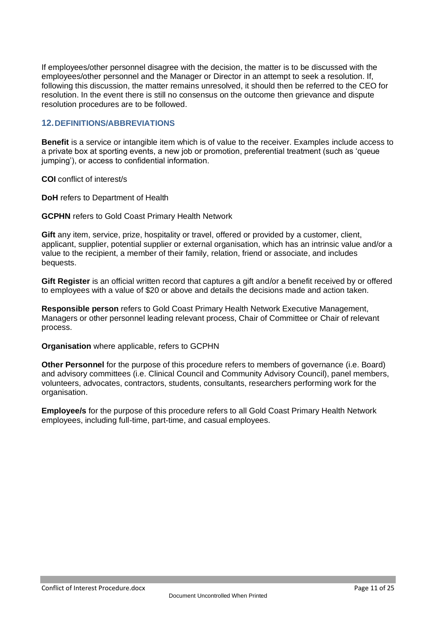If employees/other personnel disagree with the decision, the matter is to be discussed with the employees/other personnel and the Manager or Director in an attempt to seek a resolution. If, following this discussion, the matter remains unresolved, it should then be referred to the CEO for resolution. In the event there is still no consensus on the outcome then grievance and dispute resolution procedures are to be followed.

#### <span id="page-10-0"></span>**12.DEFINITIONS/ABBREVIATIONS**

**Benefit** is a service or intangible item which is of value to the receiver. Examples include access to a private box at sporting events, a new job or promotion, preferential treatment (such as 'queue jumping'), or access to confidential information.

**COI** conflict of interest/s

**DoH** refers to Department of Health

**GCPHN** refers to Gold Coast Primary Health Network

**Gift** any item, service, prize, hospitality or travel, offered or provided by a customer, client, applicant, supplier, potential supplier or external organisation, which has an intrinsic value and/or a value to the recipient, a member of their family, relation, friend or associate, and includes bequests.

**Gift Register** is an official written record that captures a gift and/or a benefit received by or offered to employees with a value of \$20 or above and details the decisions made and action taken.

**Responsible person** refers to Gold Coast Primary Health Network Executive Management, Managers or other personnel leading relevant process, Chair of Committee or Chair of relevant process.

**Organisation** where applicable, refers to GCPHN

**Other Personnel** for the purpose of this procedure refers to members of governance (i.e. Board) and advisory committees (i.e. Clinical Council and Community Advisory Council), panel members, volunteers, advocates, contractors, students, consultants, researchers performing work for the organisation.

<span id="page-10-1"></span>**Employee/s** for the purpose of this procedure refers to all Gold Coast Primary Health Network employees, including full-time, part-time, and casual employees.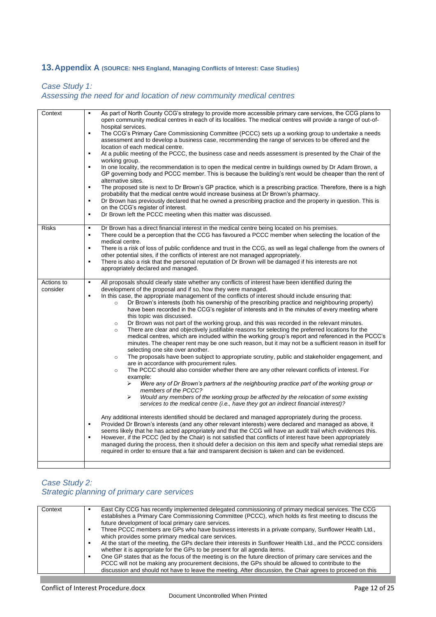# <span id="page-11-0"></span>**13.Appendix A (SOURCE: NHS England, Managing Conflicts of Interest: Case Studies)**

# *Case Study 1: Assessing the need for and location of new community medical centres*

| Context                | As part of North County CCG's strategy to provide more accessible primary care services, the CCG plans to<br>$\blacksquare$<br>open community medical centres in each of its localities. The medical centres will provide a range of out-of-<br>hospital services.<br>The CCG's Primary Care Commissioning Committee (PCCC) sets up a working group to undertake a needs<br>٠<br>assessment and to develop a business case, recommending the range of services to be offered and the<br>location of each medical centre.<br>At a public meeting of the PCCC, the business case and needs assessment is presented by the Chair of the<br>$\blacksquare$<br>working group.<br>In one locality, the recommendation is to open the medical centre in buildings owned by Dr Adam Brown, a<br>٠<br>GP governing body and PCCC member. This is because the building's rent would be cheaper than the rent of<br>alternative sites.<br>The proposed site is next to Dr Brown's GP practice, which is a prescribing practice. Therefore, there is a high<br>$\blacksquare$<br>probability that the medical centre would increase business at Dr Brown's pharmacy.<br>Dr Brown has previously declared that he owned a prescribing practice and the property in question. This is<br>$\blacksquare$<br>on the CCG's register of interest.<br>Dr Brown left the PCCC meeting when this matter was discussed.<br>$\blacksquare$                                                                                                                                                                                                                           |
|------------------------|-----------------------------------------------------------------------------------------------------------------------------------------------------------------------------------------------------------------------------------------------------------------------------------------------------------------------------------------------------------------------------------------------------------------------------------------------------------------------------------------------------------------------------------------------------------------------------------------------------------------------------------------------------------------------------------------------------------------------------------------------------------------------------------------------------------------------------------------------------------------------------------------------------------------------------------------------------------------------------------------------------------------------------------------------------------------------------------------------------------------------------------------------------------------------------------------------------------------------------------------------------------------------------------------------------------------------------------------------------------------------------------------------------------------------------------------------------------------------------------------------------------------------------------------------------------------------------------------------------------------------------------------------|
| <b>Risks</b>           | Dr Brown has a direct financial interest in the medical centre being located on his premises.<br>٠<br>There could be a perception that the CCG has favoured a PCCC member when selecting the location of the<br>$\blacksquare$                                                                                                                                                                                                                                                                                                                                                                                                                                                                                                                                                                                                                                                                                                                                                                                                                                                                                                                                                                                                                                                                                                                                                                                                                                                                                                                                                                                                                |
|                        | medical centre.<br>There is a risk of loss of public confidence and trust in the CCG, as well as legal challenge from the owners of<br>٠                                                                                                                                                                                                                                                                                                                                                                                                                                                                                                                                                                                                                                                                                                                                                                                                                                                                                                                                                                                                                                                                                                                                                                                                                                                                                                                                                                                                                                                                                                      |
|                        | other potential sites, if the conflicts of interest are not managed appropriately.<br>There is also a risk that the personal reputation of Dr Brown will be damaged if his interests are not<br>$\blacksquare$                                                                                                                                                                                                                                                                                                                                                                                                                                                                                                                                                                                                                                                                                                                                                                                                                                                                                                                                                                                                                                                                                                                                                                                                                                                                                                                                                                                                                                |
|                        | appropriately declared and managed.                                                                                                                                                                                                                                                                                                                                                                                                                                                                                                                                                                                                                                                                                                                                                                                                                                                                                                                                                                                                                                                                                                                                                                                                                                                                                                                                                                                                                                                                                                                                                                                                           |
| Actions to<br>consider | All proposals should clearly state whether any conflicts of interest have been identified during the<br>$\blacksquare$<br>development of the proposal and if so, how they were managed.<br>In this case, the appropriate management of the conflicts of interest should include ensuring that:<br>$\blacksquare$<br>Dr Brown's interests (both his ownership of the prescribing practice and neighbouring property)<br>$\circ$<br>have been recorded in the CCG's register of interests and in the minutes of every meeting where<br>this topic was discussed.<br>Dr Brown was not part of the working group, and this was recorded in the relevant minutes.<br>$\circ$<br>There are clear and objectively justifiable reasons for selecting the preferred locations for the<br>$\circ$<br>medical centres, which are included within the working group's report and referenced in the PCCC's<br>minutes. The cheaper rent may be one such reason, but it may not be a sufficient reason in itself for<br>selecting one site over another.<br>The proposals have been subject to appropriate scrutiny, public and stakeholder engagement, and<br>$\circ$<br>are in accordance with procurement rules.<br>The PCCC should also consider whether there are any other relevant conflicts of interest. For<br>$\circ$<br>example:<br>Were any of Dr Brown's partners at the neighbouring practice part of the working group or<br>⋗<br>members of the PCCC?<br>⋗<br>Would any members of the working group be affected by the relocation of some existing<br>services to the medical centre (i.e., have they got an indirect financial interest)? |
|                        | Any additional interests identified should be declared and managed appropriately during the process.<br>Provided Dr Brown's interests (and any other relevant interests) were declared and managed as above, it<br>٠<br>seems likely that he has acted appropriately and that the CCG will have an audit trail which evidences this.<br>However, if the PCCC (led by the Chair) is not satisfied that conflicts of interest have been appropriately<br>٠<br>managed during the process, then it should defer a decision on this item and specify what remedial steps are<br>required in order to ensure that a fair and transparent decision is taken and can be evidenced.                                                                                                                                                                                                                                                                                                                                                                                                                                                                                                                                                                                                                                                                                                                                                                                                                                                                                                                                                                   |

#### *Case Study 2: Strategic planning of primary care services*

| East City CCG has recently implemented delegated commissioning of primary medical services. The CCG<br>Context<br>establishes a Primary Care Commissioning Committee (PCCC), which holds its first meeting to discuss the<br>future development of local primary care services.<br>Three PCCC members are GPs who have business interests in a private company, Sunflower Health Ltd.,<br>which provides some primary medical care services.<br>At the start of the meeting, the GPs declare their interests in Sunflower Health Ltd., and the PCCC considers<br>whether it is appropriate for the GPs to be present for all agenda items.<br>One GP states that as the focus of the meeting is on the future direction of primary care services and the<br>PCCC will not be making any procurement decisions, the GPs should be allowed to contribute to the<br>discussion and should not have to leave the meeting. After discussion, the Chair agrees to proceed on this |  |
|-----------------------------------------------------------------------------------------------------------------------------------------------------------------------------------------------------------------------------------------------------------------------------------------------------------------------------------------------------------------------------------------------------------------------------------------------------------------------------------------------------------------------------------------------------------------------------------------------------------------------------------------------------------------------------------------------------------------------------------------------------------------------------------------------------------------------------------------------------------------------------------------------------------------------------------------------------------------------------|--|
|-----------------------------------------------------------------------------------------------------------------------------------------------------------------------------------------------------------------------------------------------------------------------------------------------------------------------------------------------------------------------------------------------------------------------------------------------------------------------------------------------------------------------------------------------------------------------------------------------------------------------------------------------------------------------------------------------------------------------------------------------------------------------------------------------------------------------------------------------------------------------------------------------------------------------------------------------------------------------------|--|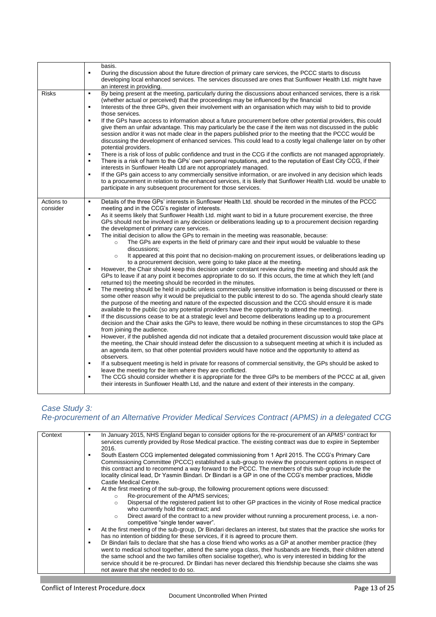|                        | basis.<br>During the discussion about the future direction of primary care services, the PCCC starts to discuss<br>$\blacksquare$<br>developing local enhanced services. The services discussed are ones that Sunflower Health Ltd. might have<br>an interest in providing.                                                                                                                                                                                                                                                                                                                                                                                                                                                                                                                                                                                                                                                                                                                                                                                                                                                                                                                                                                                                                                                                                                                                                                                                                                                                                                                                                                                                                                                                                                                                                                                                                                                                                                                                                                                                                                                                                                                                                                                                                                                                                                                                                                                                                                                                                                                                                                                                                                          |
|------------------------|----------------------------------------------------------------------------------------------------------------------------------------------------------------------------------------------------------------------------------------------------------------------------------------------------------------------------------------------------------------------------------------------------------------------------------------------------------------------------------------------------------------------------------------------------------------------------------------------------------------------------------------------------------------------------------------------------------------------------------------------------------------------------------------------------------------------------------------------------------------------------------------------------------------------------------------------------------------------------------------------------------------------------------------------------------------------------------------------------------------------------------------------------------------------------------------------------------------------------------------------------------------------------------------------------------------------------------------------------------------------------------------------------------------------------------------------------------------------------------------------------------------------------------------------------------------------------------------------------------------------------------------------------------------------------------------------------------------------------------------------------------------------------------------------------------------------------------------------------------------------------------------------------------------------------------------------------------------------------------------------------------------------------------------------------------------------------------------------------------------------------------------------------------------------------------------------------------------------------------------------------------------------------------------------------------------------------------------------------------------------------------------------------------------------------------------------------------------------------------------------------------------------------------------------------------------------------------------------------------------------------------------------------------------------------------------------------------------------|
| <b>Risks</b>           | By being present at the meeting, particularly during the discussions about enhanced services, there is a risk<br>$\blacksquare$<br>(whether actual or perceived) that the proceedings may be influenced by the financial<br>Interests of the three GPs, given their involvement with an organisation which may wish to bid to provide<br>٠<br>those services.<br>If the GPs have access to information about a future procurement before other potential providers, this could<br>$\blacksquare$<br>give them an unfair advantage. This may particularly be the case if the item was not discussed in the public<br>session and/or it was not made clear in the papers published prior to the meeting that the PCCC would be<br>discussing the development of enhanced services. This could lead to a costly legal challenge later on by other<br>potential providers.<br>There is a risk of loss of public confidence and trust in the CCG if the conflicts are not managed appropriately.<br>٠<br>There is a risk of harm to the GPs' own personal reputations, and to the reputation of East City CCG, if their<br>$\blacksquare$<br>interests in Sunflower Health Ltd are not appropriately managed.<br>If the GPs gain access to any commercially sensitive information, or are involved in any decision which leads<br>٠<br>to a procurement in relation to the enhanced services, it is likely that Sunflower Health Ltd. would be unable to<br>participate in any subsequent procurement for those services.                                                                                                                                                                                                                                                                                                                                                                                                                                                                                                                                                                                                                                                                                                                                                                                                                                                                                                                                                                                                                                                                                                                                                                                                 |
| Actions to<br>consider | Details of the three GPs' interests in Sunflower Health Ltd. should be recorded in the minutes of the PCCC<br>$\blacksquare$<br>meeting and in the CCG's register of interests.<br>As it seems likely that Sunflower Health Ltd. might want to bid in a future procurement exercise, the three<br>٠<br>GPs should not be involved in any decision or deliberations leading up to a procurement decision regarding<br>the development of primary care services.<br>The initial decision to allow the GPs to remain in the meeting was reasonable, because:<br>$\blacksquare$<br>The GPs are experts in the field of primary care and their input would be valuable to these<br>$\circ$<br>discussions;<br>It appeared at this point that no decision-making on procurement issues, or deliberations leading up<br>$\circ$<br>to a procurement decision, were going to take place at the meeting.<br>However, the Chair should keep this decision under constant review during the meeting and should ask the<br>$\blacksquare$<br>GPs to leave if at any point it becomes appropriate to do so. If this occurs, the time at which they left (and<br>returned to) the meeting should be recorded in the minutes.<br>The meeting should be held in public unless commercially sensitive information is being discussed or there is<br>٠<br>some other reason why it would be prejudicial to the public interest to do so. The agenda should clearly state<br>the purpose of the meeting and nature of the expected discussion and the CCG should ensure it is made<br>available to the public (so any potential providers have the opportunity to attend the meeting).<br>If the discussions cease to be at a strategic level and become deliberations leading up to a procurement<br>$\blacksquare$<br>decision and the Chair asks the GPs to leave, there would be nothing in these circumstances to stop the GPs<br>from joining the audience.<br>However, if the published agenda did not indicate that a detailed procurement discussion would take place at<br>٠<br>the meeting, the Chair should instead defer the discussion to a subsequent meeting at which it is included as<br>an agenda item, so that other potential providers would have notice and the opportunity to attend as<br>observers.<br>If a subsequent meeting is held in private for reasons of commercial sensitivity, the GPs should be asked to<br>leave the meeting for the item where they are conflicted.<br>The CCG should consider whether it is appropriate for the three GPs to be members of the PCCC at all, given<br>٠<br>their interests in Sunflower Health Ltd, and the nature and extent of their interests in the company. |

# *Case Study 3:*

# *Re-procurement of an Alternative Provider Medical Services Contract (APMS) in a delegated CCG*

| Context | In January 2015, NHS England began to consider options for the re-procurement of an APMS <sup>1</sup> contract for<br>services currently provided by Rose Medical practice. The existing contract was due to expire in September<br>2016.                                                                                                                                                                                                                |
|---------|----------------------------------------------------------------------------------------------------------------------------------------------------------------------------------------------------------------------------------------------------------------------------------------------------------------------------------------------------------------------------------------------------------------------------------------------------------|
|         | South Eastern CCG implemented delegated commissioning from 1 April 2015. The CCG's Primary Care<br>Commissioning Committee (PCCC) established a sub-group to review the procurement options in respect of<br>this contract and to recommend a way forward to the PCCC. The members of this sub-group include the<br>locality clinical lead, Dr Yasmin Bindari. Dr Bindari is a GP in one of the CCG's member practices, Middle<br>Castle Medical Centre. |
|         | At the first meeting of the sub-group, the following procurement options were discussed:<br>٠<br>Re-procurement of the APMS services;<br>$\circ$<br>Dispersal of the registered patient list to other GP practices in the vicinity of Rose medical practice<br>$\Omega$<br>who currently hold the contract; and                                                                                                                                          |
|         | Direct award of the contract to a new provider without running a procurement process, i.e. a non-<br>$\circ$<br>competitive "single tender waver".                                                                                                                                                                                                                                                                                                       |
|         | At the first meeting of the sub-group, Dr Bindari declares an interest, but states that the practice she works for<br>has no intention of bidding for these services, if it is agreed to procure them.                                                                                                                                                                                                                                                   |
|         | Dr Bindari fails to declare that she has a close friend who works as a GP at another member practice (they<br>went to medical school together, attend the same yoga class, their husbands are friends, their children attend<br>the same school and the two families often socialise together), who is very interested in bidding for the                                                                                                                |
|         | service should it be re-procured. Dr Bindari has never declared this friendship because she claims she was<br>not aware that she needed to do so.                                                                                                                                                                                                                                                                                                        |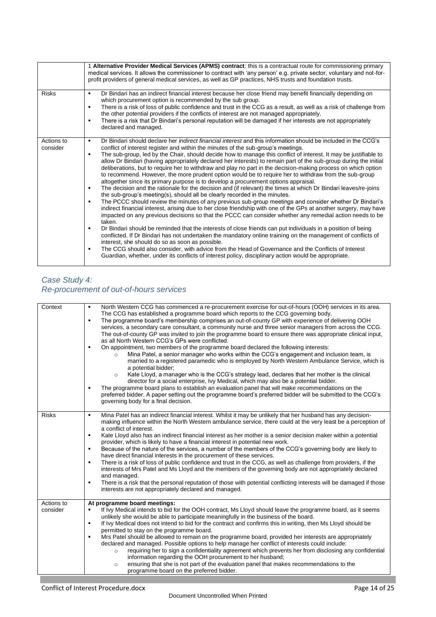|                        | 1 Alternative Provider Medical Services (APMS) contract: this is a contractual route for commissioning primary<br>medical services. It allows the commissioner to contract with 'any person' e.g. private sector, voluntary and not-for-<br>profit providers of general medical services, as well as GP practices, NHS trusts and foundation trusts.                                                                                                                                                                                                                                                                                                                                                                                                                                                                                                                                                                                                                                                                                                                                                                                                                                                                                                                                                                                                                                                                                                                                                                                                                                                                                                                                                                                                                                                                                                        |
|------------------------|-------------------------------------------------------------------------------------------------------------------------------------------------------------------------------------------------------------------------------------------------------------------------------------------------------------------------------------------------------------------------------------------------------------------------------------------------------------------------------------------------------------------------------------------------------------------------------------------------------------------------------------------------------------------------------------------------------------------------------------------------------------------------------------------------------------------------------------------------------------------------------------------------------------------------------------------------------------------------------------------------------------------------------------------------------------------------------------------------------------------------------------------------------------------------------------------------------------------------------------------------------------------------------------------------------------------------------------------------------------------------------------------------------------------------------------------------------------------------------------------------------------------------------------------------------------------------------------------------------------------------------------------------------------------------------------------------------------------------------------------------------------------------------------------------------------------------------------------------------------|
| <b>Risks</b>           | Dr Bindari has an indirect financial interest because her close friend may benefit financially depending on<br>٠<br>which procurement option is recommended by the sub group.<br>There is a risk of loss of public confidence and trust in the CCG as a result, as well as a risk of challenge from<br>٠<br>the other potential providers if the conflicts of interest are not managed appropriately.<br>There is a risk that Dr Bindari's personal reputation will be damaged if her interests are not appropriately<br>٠<br>declared and managed.                                                                                                                                                                                                                                                                                                                                                                                                                                                                                                                                                                                                                                                                                                                                                                                                                                                                                                                                                                                                                                                                                                                                                                                                                                                                                                         |
| Actions to<br>consider | Dr Bindari should declare her <i>indirect financial interest</i> and this information should be included in the CCG's<br>٠<br>conflict of interest register and within the minutes of the sub-group's meetings.<br>The sub-group, led by the Chair, should decide how to manage this conflict of interest. It may be justifiable to<br>٠<br>allow Dr Bindari (having appropriately declared her interests) to remain part of the sub-group during the initial<br>deliberations, but to require her to withdraw and play no part in the decision-making process on which option<br>to recommend. However, the more prudent option would be to require her to withdraw from the sub-group<br>altogether since its primary purpose is to develop a procurement options appraisal.<br>The decision and the rationale for the decision and (if relevant) the times at which Dr Bindari leaves/re-joins<br>٠<br>the sub-group's meeting(s), should all be clearly recorded in the minutes.<br>The PCCC should review the minutes of any previous sub-group meetings and consider whether Dr Bindari's<br>٠<br>indirect financial interest, arising due to her close friendship with one of the GPs at another surgery, may have<br>impacted on any previous decisions so that the PCCC can consider whether any remedial action needs to be<br>taken.<br>Dr Bindari should be reminded that the interests of close friends can put individuals in a position of being<br>٠<br>conflicted. If Dr Bindari has not undertaken the mandatory online training on the management of conflicts of<br>interest, she should do so as soon as possible.<br>The CCG should also consider, with advice from the Head of Governance and the Conflicts of Interest<br>٠<br>Guardian, whether, under its conflicts of interest policy, disciplinary action would be appropriate. |

#### *Case Study 4: Re-procurement of out-of-hours services*

| Context                | North Western CCG has commenced a re-procurement exercise for out-of-hours (OOH) services in its area.<br>$\blacksquare$<br>The CCG has established a programme board which reports to the CCG governing body.<br>The programme board's membership comprises an out-of-county GP with experience of delivering OOH<br>$\blacksquare$<br>services, a secondary care consultant, a community nurse and three senior managers from across the CCG.<br>The out-of-county GP was invited to join the programme board to ensure there was appropriate clinical input,<br>as all North Western CCG's GPs were conflicted.<br>On appointment, two members of the programme board declared the following interests:<br>$\blacksquare$<br>Mina Patel, a senior manager who works within the CCG's engagement and inclusion team, is<br>$\circ$<br>married to a registered paramedic who is employed by North Western Ambulance Service, which is<br>a potential bidder;<br>Kate Lloyd, a manager who is the CCG's strategy lead, declares that her mother is the clinical<br>$\circ$<br>director for a social enterprise, Ivy Medical, which may also be a potential bidder.<br>The programme board plans to establish an evaluation panel that will make recommendations on the<br>$\blacksquare$<br>preferred bidder. A paper setting out the programme board's preferred bidder will be submitted to the CCG's<br>governing body for a final decision. |
|------------------------|-------------------------------------------------------------------------------------------------------------------------------------------------------------------------------------------------------------------------------------------------------------------------------------------------------------------------------------------------------------------------------------------------------------------------------------------------------------------------------------------------------------------------------------------------------------------------------------------------------------------------------------------------------------------------------------------------------------------------------------------------------------------------------------------------------------------------------------------------------------------------------------------------------------------------------------------------------------------------------------------------------------------------------------------------------------------------------------------------------------------------------------------------------------------------------------------------------------------------------------------------------------------------------------------------------------------------------------------------------------------------------------------------------------------------------------------------|
| <b>Risks</b>           | Mina Patel has an indirect financial interest. Whilst it may be unlikely that her husband has any decision-<br>$\blacksquare$<br>making influence within the North Western ambulance service, there could at the very least be a perception of<br>a conflict of interest.<br>Kate Lloyd also has an indirect financial interest as her mother is a senior decision maker within a potential<br>$\blacksquare$<br>provider, which is likely to have a financial interest in potential new work.<br>Because of the nature of the services, a number of the members of the CCG's governing body are likely to<br>$\blacksquare$<br>have direct financial interests in the procurement of these services.<br>There is a risk of loss of public confidence and trust in the CCG, as well as challenge from providers, if the<br>٠<br>interests of Mrs Patel and Ms Lloyd and the members of the governing body are not appropriately declared<br>and managed.<br>There is a risk that the personal reputation of those with potential conflicting interests will be damaged if those<br>٠<br>interests are not appropriately declared and managed.                                                                                                                                                                                                                                                                                                   |
| Actions to<br>consider | At programme board meetings:<br>If Ivy Medical intends to bid for the OOH contract, Ms Lloyd should leave the programme board, as it seems<br>٠<br>unlikely she would be able to participate meaningfully in the business of the board.<br>If Ivy Medical does not intend to bid for the contract and confirms this in writing, then Ms Lloyd should be<br>٠<br>permitted to stay on the programme board.<br>Mrs Patel should be allowed to remain on the programme board, provided her interests are appropriately<br>$\blacksquare$<br>declared and managed. Possible options to help manage her conflict of interests could include:<br>requiring her to sign a confidentiality agreement which prevents her from disclosing any confidential<br>$\circ$<br>information regarding the OOH procurement to her husband;<br>ensuring that she is not part of the evaluation panel that makes recommendations to the<br>$\circ$<br>programme board on the preferred bidder.                                                                                                                                                                                                                                                                                                                                                                                                                                                                      |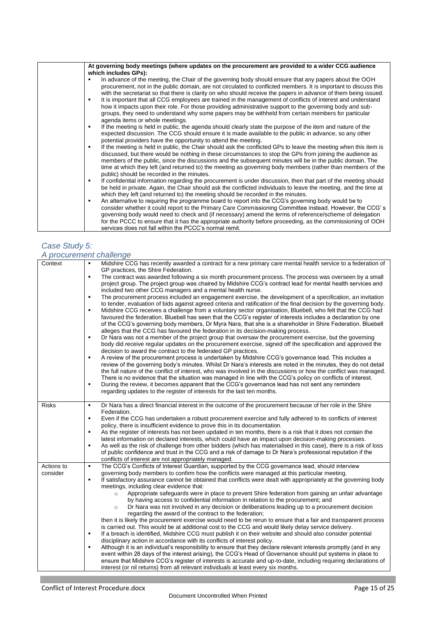| At governing body meetings (where updates on the procurement are provided to a wider CCG audience<br>which includes GPs):                                                                                                                                                                                                                                                                                                                                                                                    |
|--------------------------------------------------------------------------------------------------------------------------------------------------------------------------------------------------------------------------------------------------------------------------------------------------------------------------------------------------------------------------------------------------------------------------------------------------------------------------------------------------------------|
| In advance of the meeting, the Chair of the governing body should ensure that any papers about the OOH<br>procurement, not in the public domain, are not circulated to conflicted members. It is important to discuss this<br>with the secretariat so that there is clarity on who should receive the papers in advance of them being issued.                                                                                                                                                                |
| It is important that all CCG employees are trained in the management of conflicts of interest and understand<br>how it impacts upon their role. For those providing administrative support to the governing body and sub-<br>groups, they need to understand why some papers may be withheld from certain members for particular<br>agenda items or whole meetings.                                                                                                                                          |
| If the meeting is held in public, the agenda should clearly state the purpose of the item and nature of the<br>٠<br>expected discussion. The CCG should ensure it is made available to the public in advance, so any other<br>potential providers have the opportunity to attend the meeting.                                                                                                                                                                                                                |
| If the meeting is held in public, the Chair should ask the conflicted GPs to leave the meeting when this item is<br>٠<br>discussed, but there would be nothing in these circumstances to stop the GPs from joining the audience as<br>members of the public, since the discussions and the subsequent minutes will be in the public domain. The<br>time at which they left (and returned to) the meeting as governing body members (rather than members of the<br>public) should be recorded in the minutes. |
| If confidential information regarding the procurement is under discussion, then that part of the meeting should<br>٠<br>be held in private. Again, the Chair should ask the conflicted individuals to leave the meeting, and the time at<br>which they left (and returned to) the meeting should be recorded in the minutes.                                                                                                                                                                                 |
| An alternative to requiring the programme board to report into the CCG's governing body would be to<br>٠<br>consider whether it could report to the Primary Care Commissioning Committee instead. However, the CCG's<br>governing body would need to check and (if necessary) amend the terms of reference/scheme of delegation<br>for the PCCC to ensure that it has the appropriate authority before proceeding, as the commissioning of OOH<br>services does not fall within the PCCC's normal remit.     |

### *Case Study 5: A procurement challenge*

| Context      | Midshire CCG has recently awarded a contract for a new primary care mental health service to a federation of<br>GP practices, the Shire Federation.                                                                                                                                                                                                                                                                                                                                                                                                                                                                                                                                                     |
|--------------|---------------------------------------------------------------------------------------------------------------------------------------------------------------------------------------------------------------------------------------------------------------------------------------------------------------------------------------------------------------------------------------------------------------------------------------------------------------------------------------------------------------------------------------------------------------------------------------------------------------------------------------------------------------------------------------------------------|
|              | The contract was awarded following a six month procurement process. The process was overseen by a small<br>$\blacksquare$<br>project group. The project group was chaired by Midshire CCG's contract lead for mental health services and<br>included two other CCG managers and a mental health nurse.                                                                                                                                                                                                                                                                                                                                                                                                  |
|              | The procurement process included an engagement exercise, the development of a specification, an invitation<br>$\blacksquare$<br>to tender, evaluation of bids against agreed criteria and ratification of the final decision by the governing body.<br>Midshire CCG receives a challenge from a voluntary sector organisation, Bluebell, who felt that the CCG had<br>$\blacksquare$<br>favoured the federation. Bluebell has seen that the CCG's register of interests includes a declaration by one<br>of the CCG's governing body members, Dr Myra Nara, that she is a shareholder in Shire Federation. Bluebell<br>alleges that the CCG has favoured the federation in its decision-making process. |
|              | Dr Nara was not a member of the project group that oversaw the procurement exercise, but the governing<br>$\blacksquare$<br>body did receive regular updates on the procurement exercise, signed off the specification and approved the<br>decision to award the contract to the federated GP practices.                                                                                                                                                                                                                                                                                                                                                                                                |
|              | A review of the procurement process is undertaken by Midshire CCG's governance lead. This includes a<br>$\blacksquare$<br>review of the governing body's minutes. Whilst Dr Nara's interests are noted in the minutes, they do not detail<br>the full nature of the conflict of interest, who was involved in the discussions or how the conflict was managed.<br>There is no evidence that the situation was managed in line with the CCG's policy on conflicts of interest.                                                                                                                                                                                                                           |
|              | During the review, it becomes apparent that the CCG's governance lead has not sent any reminders<br>٠<br>regarding updates to the register of interests for the last ten months.                                                                                                                                                                                                                                                                                                                                                                                                                                                                                                                        |
| <b>Risks</b> | Dr Nara has a direct financial interest in the outcome of the procurement because of her role in the Shire<br>$\blacksquare$<br>Federation.                                                                                                                                                                                                                                                                                                                                                                                                                                                                                                                                                             |
|              | Even if the CCG has undertaken a robust procurement exercise and fully adhered to its conflicts of interest<br>٠<br>policy, there is insufficient evidence to prove this in its documentation.                                                                                                                                                                                                                                                                                                                                                                                                                                                                                                          |
|              | As the register of interests has not been updated in ten months, there is a risk that it does not contain the<br>$\blacksquare$<br>latest information on declared interests, which could have an impact upon decision-making processes.                                                                                                                                                                                                                                                                                                                                                                                                                                                                 |
|              | As well as the risk of challenge from other bidders (which has materialised in this case), there is a risk of loss<br>٠<br>of public confidence and trust in the CCG and a risk of damage to Dr Nara's professional reputation if the<br>conflicts of interest are not appropriately managed.                                                                                                                                                                                                                                                                                                                                                                                                           |
| Actions to   | The CCG's Conflicts of Interest Guardian, supported by the CCG governance lead, should interview<br>$\blacksquare$                                                                                                                                                                                                                                                                                                                                                                                                                                                                                                                                                                                      |
| consider     | governing body members to confirm how the conflicts were managed at this particular meeting.                                                                                                                                                                                                                                                                                                                                                                                                                                                                                                                                                                                                            |
|              | If satisfactory assurance cannot be obtained that conflicts were dealt with appropriately at the governing body<br>$\blacksquare$<br>meetings, including clear evidence that:                                                                                                                                                                                                                                                                                                                                                                                                                                                                                                                           |
|              | Appropriate safeguards were in place to prevent Shire federation from gaining an unfair advantage<br>$\circ$<br>by having access to confidential information in relation to the procurement; and                                                                                                                                                                                                                                                                                                                                                                                                                                                                                                        |
|              | Dr Nara was not involved in any decision or deliberations leading up to a procurement decision<br>$\circ$<br>regarding the award of the contract to the federation;                                                                                                                                                                                                                                                                                                                                                                                                                                                                                                                                     |
|              | then it is likely the procurement exercise would need to be rerun to ensure that a fair and transparent process                                                                                                                                                                                                                                                                                                                                                                                                                                                                                                                                                                                         |
|              | is carried out. This would be at additional cost to the CCG and would likely delay service delivery.                                                                                                                                                                                                                                                                                                                                                                                                                                                                                                                                                                                                    |
|              | If a breach is identified, Midshire CCG must publish it on their website and should also consider potential<br>$\blacksquare$                                                                                                                                                                                                                                                                                                                                                                                                                                                                                                                                                                           |
|              | disciplinary action in accordance with its conflicts of interest policy.                                                                                                                                                                                                                                                                                                                                                                                                                                                                                                                                                                                                                                |
|              | Although it is an individual's responsibility to ensure that they declare relevant interests promptly (and in any<br>٠                                                                                                                                                                                                                                                                                                                                                                                                                                                                                                                                                                                  |
|              | event within 28 days of the interest arising), the CCG's Head of Governance should put systems in place to<br>ensure that Midshire CCG's register of interests is accurate and up-to-date, including requiring declarations of                                                                                                                                                                                                                                                                                                                                                                                                                                                                          |
|              | interest (or nil returns) from all relevant individuals at least every six months.                                                                                                                                                                                                                                                                                                                                                                                                                                                                                                                                                                                                                      |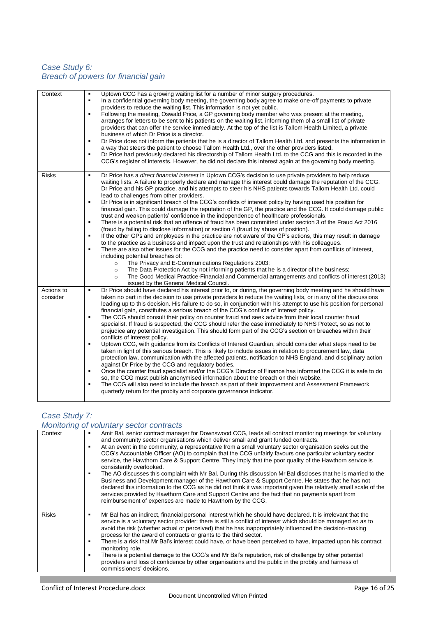# *Case Study 6: Breach of powers for financial gain*

| Context      | Uptown CCG has a growing waiting list for a number of minor surgery procedures.<br>٠<br>In a confidential governing body meeting, the governing body agree to make one-off payments to private<br>$\blacksquare$<br>providers to reduce the waiting list. This information is not yet public.<br>Following the meeting, Oswald Price, a GP governing body member who was present at the meeting,<br>٠<br>arranges for letters to be sent to his patients on the waiting list, informing them of a small list of private<br>providers that can offer the service immediately. At the top of the list is Tallom Health Limited, a private<br>business of which Dr Price is a director.<br>Dr Price does not inform the patients that he is a director of Tallom Health Ltd. and presents the information in<br>٠<br>a way that steers the patient to choose Tallom Health Ltd., over the other providers listed.<br>Dr Price had previously declared his directorship of Tallom Health Ltd. to the CCG and this is recorded in the<br>٠<br>CCG's register of interests. However, he did not declare this interest again at the governing body meeting. |
|--------------|------------------------------------------------------------------------------------------------------------------------------------------------------------------------------------------------------------------------------------------------------------------------------------------------------------------------------------------------------------------------------------------------------------------------------------------------------------------------------------------------------------------------------------------------------------------------------------------------------------------------------------------------------------------------------------------------------------------------------------------------------------------------------------------------------------------------------------------------------------------------------------------------------------------------------------------------------------------------------------------------------------------------------------------------------------------------------------------------------------------------------------------------------|
| <b>Risks</b> | Dr Price has a direct financial interest in Uptown CCG's decision to use private providers to help reduce<br>٠                                                                                                                                                                                                                                                                                                                                                                                                                                                                                                                                                                                                                                                                                                                                                                                                                                                                                                                                                                                                                                       |
|              | waiting lists. A failure to properly declare and manage this interest could damage the reputation of the CCG,<br>Dr Price and his GP practice, and his attempts to steer his NHS patients towards Tallom Health Ltd. could<br>lead to challenges from other providers.                                                                                                                                                                                                                                                                                                                                                                                                                                                                                                                                                                                                                                                                                                                                                                                                                                                                               |
|              | Dr Price is in significant breach of the CCG's conflicts of interest policy by having used his position for<br>٠<br>financial gain. This could damage the reputation of the GP, the practice and the CCG. It could damage public<br>trust and weaken patients' confidence in the independence of healthcare professionals.                                                                                                                                                                                                                                                                                                                                                                                                                                                                                                                                                                                                                                                                                                                                                                                                                           |
|              | There is a potential risk that an offence of fraud has been committed under section 3 of the Fraud Act 2016<br>٠                                                                                                                                                                                                                                                                                                                                                                                                                                                                                                                                                                                                                                                                                                                                                                                                                                                                                                                                                                                                                                     |
|              | (fraud by failing to disclose information) or section 4 (fraud by abuse of position).<br>If the other GPs and employees in the practice are not aware of the GP's actions, this may result in damage<br>٠                                                                                                                                                                                                                                                                                                                                                                                                                                                                                                                                                                                                                                                                                                                                                                                                                                                                                                                                            |
|              | to the practice as a business and impact upon the trust and relationships with his colleagues.                                                                                                                                                                                                                                                                                                                                                                                                                                                                                                                                                                                                                                                                                                                                                                                                                                                                                                                                                                                                                                                       |
|              | There are also other issues for the CCG and the practice need to consider apart from conflicts of interest,<br>٠<br>including potential breaches of:                                                                                                                                                                                                                                                                                                                                                                                                                                                                                                                                                                                                                                                                                                                                                                                                                                                                                                                                                                                                 |
|              | The Privacy and E-Communications Regulations 2003;<br>$\circ$                                                                                                                                                                                                                                                                                                                                                                                                                                                                                                                                                                                                                                                                                                                                                                                                                                                                                                                                                                                                                                                                                        |
|              | The Data Protection Act by not informing patients that he is a director of the business;<br>$\circ$<br>The Good Medical Practice-Financial and Commercial arrangements and conflicts of interest (2013)<br>$\circ$<br>issued by the General Medical Council.                                                                                                                                                                                                                                                                                                                                                                                                                                                                                                                                                                                                                                                                                                                                                                                                                                                                                         |
| Actions to   | Dr Price should have declared his interest prior to, or during, the governing body meeting and he should have<br>$\blacksquare$                                                                                                                                                                                                                                                                                                                                                                                                                                                                                                                                                                                                                                                                                                                                                                                                                                                                                                                                                                                                                      |
| consider     | taken no part in the decision to use private providers to reduce the waiting lists, or in any of the discussions<br>leading up to this decision. His failure to do so, in conjunction with his attempt to use his position for personal<br>financial gain, constitutes a serious breach of the CCG's conflicts of interest policy.                                                                                                                                                                                                                                                                                                                                                                                                                                                                                                                                                                                                                                                                                                                                                                                                                   |
|              | The CCG should consult their policy on counter fraud and seek advice from their local counter fraud<br>٠                                                                                                                                                                                                                                                                                                                                                                                                                                                                                                                                                                                                                                                                                                                                                                                                                                                                                                                                                                                                                                             |
|              | specialist. If fraud is suspected, the CCG should refer the case immediately to NHS Protect, so as not to<br>prejudice any potential investigation. This should form part of the CCG's section on breaches within their<br>conflicts of interest policy.                                                                                                                                                                                                                                                                                                                                                                                                                                                                                                                                                                                                                                                                                                                                                                                                                                                                                             |
|              | Uptown CCG, with guidance from its Conflicts of Interest Guardian, should consider what steps need to be<br>٠<br>taken in light of this serious breach. This is likely to include issues in relation to procurement law, data<br>protection law, communication with the affected patients, notification to NHS England, and disciplinary action<br>against Dr Price by the CCG and regulatory bodies.                                                                                                                                                                                                                                                                                                                                                                                                                                                                                                                                                                                                                                                                                                                                                |
|              | Once the counter fraud specialist and/or the CCG's Director of Finance has informed the CCG it is safe to do<br>٠<br>so, the CCG must publish anonymised information about the breach on their website.<br>The CCG will also need to include the breach as part of their Improvement and Assessment Framework<br>٠                                                                                                                                                                                                                                                                                                                                                                                                                                                                                                                                                                                                                                                                                                                                                                                                                                   |
|              | quarterly return for the probity and corporate governance indicator.                                                                                                                                                                                                                                                                                                                                                                                                                                                                                                                                                                                                                                                                                                                                                                                                                                                                                                                                                                                                                                                                                 |

# *Case Study 7:*

| Monitoring of voluntary sector contracts |                                                                                                                                                                                                                                                                                                                                                                                                                                                                                                                                                                                                                                                                                                                                                                                                                                                                                                                                                                                                                                                                                           |  |  |  |  |
|------------------------------------------|-------------------------------------------------------------------------------------------------------------------------------------------------------------------------------------------------------------------------------------------------------------------------------------------------------------------------------------------------------------------------------------------------------------------------------------------------------------------------------------------------------------------------------------------------------------------------------------------------------------------------------------------------------------------------------------------------------------------------------------------------------------------------------------------------------------------------------------------------------------------------------------------------------------------------------------------------------------------------------------------------------------------------------------------------------------------------------------------|--|--|--|--|
| Context                                  | Amit Bal, senior contract manager for Downswood CCG, leads all contract monitoring meetings for voluntary<br>٠<br>and community sector organisations which deliver small and grant funded contracts.<br>At an event in the community, a representative from a small voluntary sector organisation seeks out the<br>٠<br>CCG's Accountable Officer (AO) to complain that the CCG unfairly favours one particular voluntary sector<br>service, the Hawthorn Care & Support Centre. They imply that the poor quality of the Hawthorn service is<br>consistently overlooked.<br>The AO discusses this complaint with Mr Bal. During this discussion Mr Bal discloses that he is married to the<br>٠<br>Business and Development manager of the Hawthorn Care & Support Centre. He states that he has not<br>declared this information to the CCG as he did not think it was important given the relatively small scale of the<br>services provided by Hawthorn Care and Support Centre and the fact that no payments apart from<br>reimbursement of expenses are made to Hawthorn by the CCG. |  |  |  |  |
| <b>Risks</b>                             | Mr Bal has an indirect, financial personal interest which he should have declared. It is irrelevant that the<br>٠<br>service is a voluntary sector provider: there is still a conflict of interest which should be managed so as to<br>avoid the risk (whether actual or perceived) that he has inappropriately influenced the decision-making<br>process for the award of contracts or grants to the third sector.<br>There is a risk that Mr Bal's interest could have, or have been perceived to have, impacted upon his contract<br>٠<br>monitoring role.<br>There is a potential damage to the CCG's and Mr Bal's reputation, risk of challenge by other potential<br>٠<br>providers and loss of confidence by other organisations and the public in the probity and fairness of<br>commissioners' decisions.                                                                                                                                                                                                                                                                        |  |  |  |  |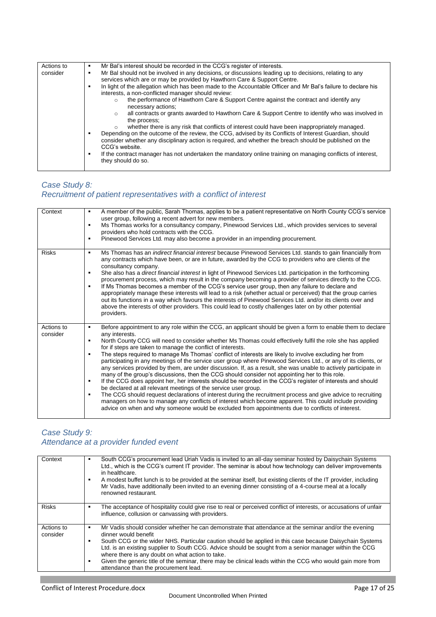| Actions to<br>consider | Mr Bal's interest should be recorded in the CCG's register of interests.<br>٠<br>Mr Bal should not be involved in any decisions, or discussions leading up to decisions, relating to any<br>٠<br>services which are or may be provided by Hawthorn Care & Support Centre.<br>In light of the allegation which has been made to the Accountable Officer and Mr Bal's failure to declare his<br>interests, a non-conflicted manager should review:<br>the performance of Hawthorn Care & Support Centre against the contract and identify any<br>$\circ$<br>necessary actions;<br>all contracts or grants awarded to Hawthorn Care & Support Centre to identify who was involved in<br>$\circ$<br>the process:<br>whether there is any risk that conflicts of interest could have been inappropriately managed.<br>$\circ$ |
|------------------------|--------------------------------------------------------------------------------------------------------------------------------------------------------------------------------------------------------------------------------------------------------------------------------------------------------------------------------------------------------------------------------------------------------------------------------------------------------------------------------------------------------------------------------------------------------------------------------------------------------------------------------------------------------------------------------------------------------------------------------------------------------------------------------------------------------------------------|
|                        |                                                                                                                                                                                                                                                                                                                                                                                                                                                                                                                                                                                                                                                                                                                                                                                                                          |
|                        |                                                                                                                                                                                                                                                                                                                                                                                                                                                                                                                                                                                                                                                                                                                                                                                                                          |
|                        |                                                                                                                                                                                                                                                                                                                                                                                                                                                                                                                                                                                                                                                                                                                                                                                                                          |
|                        |                                                                                                                                                                                                                                                                                                                                                                                                                                                                                                                                                                                                                                                                                                                                                                                                                          |
|                        |                                                                                                                                                                                                                                                                                                                                                                                                                                                                                                                                                                                                                                                                                                                                                                                                                          |
|                        |                                                                                                                                                                                                                                                                                                                                                                                                                                                                                                                                                                                                                                                                                                                                                                                                                          |
|                        |                                                                                                                                                                                                                                                                                                                                                                                                                                                                                                                                                                                                                                                                                                                                                                                                                          |
|                        | Depending on the outcome of the review, the CCG, advised by its Conflicts of Interest Guardian, should<br>consider whether any disciplinary action is required, and whether the breach should be published on the                                                                                                                                                                                                                                                                                                                                                                                                                                                                                                                                                                                                        |
|                        | CCG's website.                                                                                                                                                                                                                                                                                                                                                                                                                                                                                                                                                                                                                                                                                                                                                                                                           |
|                        | If the contract manager has not undertaken the mandatory online training on managing conflicts of interest,<br>٠<br>they should do so.                                                                                                                                                                                                                                                                                                                                                                                                                                                                                                                                                                                                                                                                                   |
|                        |                                                                                                                                                                                                                                                                                                                                                                                                                                                                                                                                                                                                                                                                                                                                                                                                                          |

# *Case Study 8: Recruitment of patient representatives with a conflict of interest*

| Context                | A member of the public, Sarah Thomas, applies to be a patient representative on North County CCG's service<br>user group, following a recent advert for new members.<br>Ms Thomas works for a consultancy company, Pinewood Services Ltd., which provides services to several<br>٠<br>providers who hold contracts with the CCG.<br>Pinewood Services Ltd. may also become a provider in an impending procurement.<br>٠                                                                                                                                                                                                                                                                                                                                                                                                                                                                                                                                                                                                                                                                                                                                                                                                                                                                            |
|------------------------|----------------------------------------------------------------------------------------------------------------------------------------------------------------------------------------------------------------------------------------------------------------------------------------------------------------------------------------------------------------------------------------------------------------------------------------------------------------------------------------------------------------------------------------------------------------------------------------------------------------------------------------------------------------------------------------------------------------------------------------------------------------------------------------------------------------------------------------------------------------------------------------------------------------------------------------------------------------------------------------------------------------------------------------------------------------------------------------------------------------------------------------------------------------------------------------------------------------------------------------------------------------------------------------------------|
| <b>Risks</b>           | Ms Thomas has an indirect financial interest because Pinewood Services Ltd. stands to gain financially from<br>٠<br>any contracts which have been, or are in future, awarded by the CCG to providers who are clients of the<br>consultancy company.<br>She also has a direct financial interest in light of Pinewood Services Ltd. participation in the forthcoming<br>٠<br>procurement process, which may result in the company becoming a provider of services directly to the CCG.<br>If Ms Thomas becomes a member of the CCG's service user group, then any failure to declare and<br>٠<br>appropriately manage these interests will lead to a risk (whether actual or perceived) that the group carries<br>out its functions in a way which favours the interests of Pinewood Services Ltd. and/or its clients over and<br>above the interests of other providers. This could lead to costly challenges later on by other potential<br>providers.                                                                                                                                                                                                                                                                                                                                            |
| Actions to<br>consider | Before appointment to any role within the CCG, an applicant should be given a form to enable them to declare<br>any interests.<br>North County CCG will need to consider whether Ms Thomas could effectively fulfil the role she has applied<br>٠<br>for if steps are taken to manage the conflict of interests.<br>The steps required to manage Ms Thomas' conflict of interests are likely to involve excluding her from<br>٠<br>participating in any meetings of the service user group where Pinewood Services Ltd., or any of its clients, or<br>any services provided by them, are under discussion. If, as a result, she was unable to actively participate in<br>many of the group's discussions, then the CCG should consider not appointing her to this role.<br>If the CCG does appoint her, her interests should be recorded in the CCG's register of interests and should<br>٠<br>be declared at all relevant meetings of the service user group.<br>The CCG should request declarations of interest during the recruitment process and give advice to recruiting<br>٠<br>managers on how to manage any conflicts of interest which become apparent. This could include providing<br>advice on when and why someone would be excluded from appointments due to conflicts of interest. |

# *Case Study 9: Attendance at a provider funded event*

| Context                | South CCG's procurement lead Uriah Vadis is invited to an all-day seminar hosted by Daisychain Systems<br>Ltd., which is the CCG's current IT provider. The seminar is about how technology can deliver improvements<br>in healthcare.<br>A modest buffet lunch is to be provided at the seminar itself, but existing clients of the IT provider, including<br>٠<br>Mr Vadis, have additionally been invited to an evening dinner consisting of a 4-course meal at a locally<br>renowned restaurant.                                                                            |
|------------------------|---------------------------------------------------------------------------------------------------------------------------------------------------------------------------------------------------------------------------------------------------------------------------------------------------------------------------------------------------------------------------------------------------------------------------------------------------------------------------------------------------------------------------------------------------------------------------------|
| <b>Risks</b>           | The acceptance of hospitality could give rise to real or perceived conflict of interests, or accusations of unfair<br>٠<br>influence, collusion or canvassing with providers.                                                                                                                                                                                                                                                                                                                                                                                                   |
| Actions to<br>consider | Mr Vadis should consider whether he can demonstrate that attendance at the seminar and/or the evening<br>٠<br>dinner would benefit<br>South CCG or the wider NHS. Particular caution should be applied in this case because Daisychain Systems<br>٠<br>Ltd. is an existing supplier to South CCG. Advice should be sought from a senior manager within the CCG<br>where there is any doubt on what action to take.<br>Given the generic title of the seminar, there may be clinical leads within the CCG who would gain more from<br>٠<br>attendance than the procurement lead. |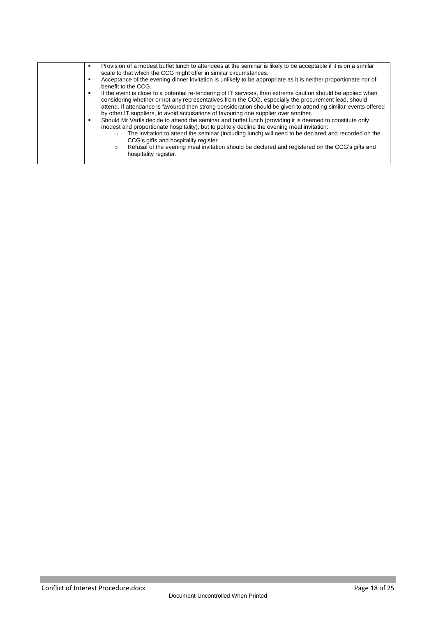| Provision of a modest buffet lunch to attendees at the seminar is likely to be acceptable if it is on a similar<br>٠<br>scale to that which the CCG might offer in similar circumstances.<br>Acceptance of the evening dinner invitation is unlikely to be appropriate as it is neither proportionate nor of<br>benefit to the CCG.<br>If the event is close to a potential re-tendering of IT services, then extreme caution should be applied when<br>٠<br>considering whether or not any representatives from the CCG, especially the procurement lead, should<br>attend. If attendance is favoured then strong consideration should be given to attending similar events offered<br>by other IT suppliers, to avoid accusations of favouring one supplier over another.<br>Should Mr Vadis decide to attend the seminar and buffet lunch (providing it is deemed to constitute only<br>٠<br>modest and proportionate hospitality), but to politely decline the evening meal invitation:<br>The invitation to attend the seminar (including lunch) will need to be declared and recorded on the<br>$\circ$<br>CCG's gifts and hospitality register<br>Refusal of the evening meal invitation should be declared and registered on the CCG's gifts and<br>$\circ$<br>hospitality register. |
|----------------------------------------------------------------------------------------------------------------------------------------------------------------------------------------------------------------------------------------------------------------------------------------------------------------------------------------------------------------------------------------------------------------------------------------------------------------------------------------------------------------------------------------------------------------------------------------------------------------------------------------------------------------------------------------------------------------------------------------------------------------------------------------------------------------------------------------------------------------------------------------------------------------------------------------------------------------------------------------------------------------------------------------------------------------------------------------------------------------------------------------------------------------------------------------------------------------------------------------------------------------------------------------------|
|                                                                                                                                                                                                                                                                                                                                                                                                                                                                                                                                                                                                                                                                                                                                                                                                                                                                                                                                                                                                                                                                                                                                                                                                                                                                                              |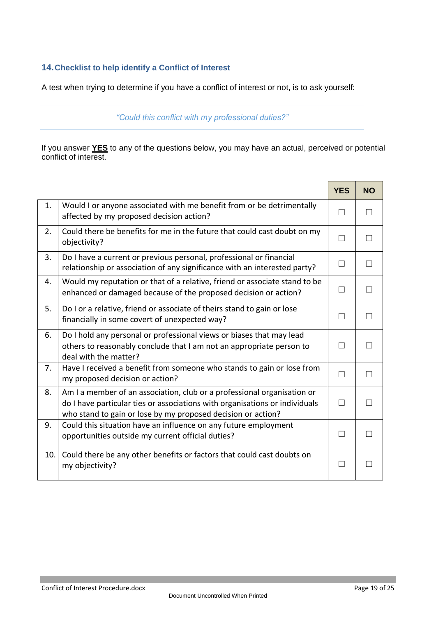#### <span id="page-18-0"></span>**14.Checklist to help identify a Conflict of Interest**

A test when trying to determine if you have a conflict of interest or not, is to ask yourself:

*"Could this conflict with my professional duties?"*

If you answer **YES** to any of the questions below, you may have an actual, perceived or potential conflict of interest.

<span id="page-18-1"></span>

|     |                                                                                                                                                                                                                        | <b>YES</b>   | <b>NO</b>      |
|-----|------------------------------------------------------------------------------------------------------------------------------------------------------------------------------------------------------------------------|--------------|----------------|
| 1.  | Would I or anyone associated with me benefit from or be detrimentally<br>affected by my proposed decision action?                                                                                                      | $\Box$       |                |
| 2.  | Could there be benefits for me in the future that could cast doubt on my<br>objectivity?                                                                                                                               | П            | $\blacksquare$ |
| 3.  | Do I have a current or previous personal, professional or financial<br>relationship or association of any significance with an interested party?                                                                       | $\mathsf{L}$ | $\blacksquare$ |
| 4.  | Would my reputation or that of a relative, friend or associate stand to be<br>enhanced or damaged because of the proposed decision or action?                                                                          | П            | $\Box$         |
| 5.  | Do I or a relative, friend or associate of theirs stand to gain or lose<br>financially in some covert of unexpected way?                                                                                               | П            | П              |
| 6.  | Do I hold any personal or professional views or biases that may lead<br>others to reasonably conclude that I am not an appropriate person to<br>deal with the matter?                                                  | П            | П              |
| 7.  | Have I received a benefit from someone who stands to gain or lose from<br>my proposed decision or action?                                                                                                              | П            | $\Box$         |
| 8.  | Am I a member of an association, club or a professional organisation or<br>do I have particular ties or associations with organisations or individuals<br>who stand to gain or lose by my proposed decision or action? | $\Box$       |                |
| 9.  | Could this situation have an influence on any future employment<br>opportunities outside my current official duties?                                                                                                   |              |                |
| 10. | Could there be any other benefits or factors that could cast doubts on<br>my objectivity?                                                                                                                              | $\Box$       |                |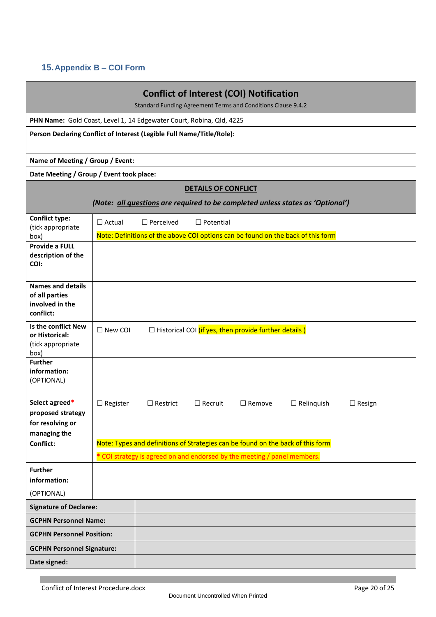# <span id="page-19-0"></span>**15.Appendix B – COI Form**

| <b>Conflict of Interest (COI) Notification</b><br>Standard Funding Agreement Terms and Conditions Clause 9.4.2 |                 |                  |                            |                                                                                           |                                                                                                      |               |
|----------------------------------------------------------------------------------------------------------------|-----------------|------------------|----------------------------|-------------------------------------------------------------------------------------------|------------------------------------------------------------------------------------------------------|---------------|
| PHN Name: Gold Coast, Level 1, 14 Edgewater Court, Robina, Qld, 4225                                           |                 |                  |                            |                                                                                           |                                                                                                      |               |
| Person Declaring Conflict of Interest (Legible Full Name/Title/Role):                                          |                 |                  |                            |                                                                                           |                                                                                                      |               |
| Name of Meeting / Group / Event:                                                                               |                 |                  |                            |                                                                                           |                                                                                                      |               |
| Date Meeting / Group / Event took place:                                                                       |                 |                  |                            |                                                                                           |                                                                                                      |               |
|                                                                                                                |                 |                  | <b>DETAILS OF CONFLICT</b> |                                                                                           |                                                                                                      |               |
|                                                                                                                |                 |                  |                            |                                                                                           | (Note: all questions are required to be completed unless states as 'Optional')                       |               |
| <b>Conflict type:</b><br>(tick appropriate                                                                     | $\Box$ Actual   | $\Box$ Perceived | $\Box$ Potential           |                                                                                           |                                                                                                      |               |
| box)                                                                                                           |                 |                  |                            |                                                                                           | Note: Definitions of the above COI options can be found on the back of this form                     |               |
| Provide a FULL<br>description of the<br>COI:                                                                   |                 |                  |                            |                                                                                           |                                                                                                      |               |
| <b>Names and details</b><br>of all parties<br>involved in the<br>conflict:                                     |                 |                  |                            |                                                                                           |                                                                                                      |               |
| Is the conflict New<br>or Historical:<br>(tick appropriate<br>box)                                             | $\Box$ New COI  |                  |                            | $\Box$ Historical COI (if yes, then provide further details)                              |                                                                                                      |               |
| <b>Further</b><br>information:<br>(OPTIONAL)                                                                   |                 |                  |                            |                                                                                           |                                                                                                      |               |
| Select agreed*<br>proposed strategy<br>for resolving or<br>managing the<br>Conflict:                           | $\Box$ Register | $\Box$ Restrict  | $\Box$ Recruit             | $\Box$ Remove<br>* COI strategy is agreed on and endorsed by the meeting / panel members. | $\Box$ Relinquish<br>Note: Types and definitions of Strategies can be found on the back of this form | $\Box$ Resign |
| <b>Further</b><br>information:                                                                                 |                 |                  |                            |                                                                                           |                                                                                                      |               |
| (OPTIONAL)                                                                                                     |                 |                  |                            |                                                                                           |                                                                                                      |               |
| <b>Signature of Declaree:</b>                                                                                  |                 |                  |                            |                                                                                           |                                                                                                      |               |
| <b>GCPHN Personnel Name:</b>                                                                                   |                 |                  |                            |                                                                                           |                                                                                                      |               |
| <b>GCPHN Personnel Position:</b>                                                                               |                 |                  |                            |                                                                                           |                                                                                                      |               |
| <b>GCPHN Personnel Signature:</b>                                                                              |                 |                  |                            |                                                                                           |                                                                                                      |               |
| Date signed:                                                                                                   |                 |                  |                            |                                                                                           |                                                                                                      |               |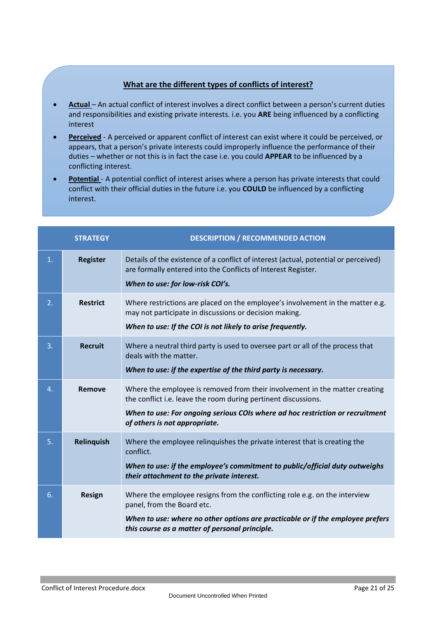#### **What are the different types of conflicts of interest?**

- **Actual** An actual conflict of interest involves a direct conflict between a person's current duties and responsibilities and existing private interests. i.e. you **ARE** being influenced by a conflicting interest
- **Perceived** A perceived or apparent conflict of interest can exist where it could be perceived, or appears, that a person's private interests could improperly influence the performance of their duties – whether or not this is in fact the case i.e. you could **APPEAR** to be influenced by a conflicting interest.
- Potential A potential conflict of interest arises where a person has private interests that could conflict with their official duties in the future i.e. you **COULD** be influenced by a conflicting interest.

|    | <b>STRATEGY</b> | <b>DESCRIPTION / RECOMMENDED ACTION</b>                                                                                                                                                                                                                         |
|----|-----------------|-----------------------------------------------------------------------------------------------------------------------------------------------------------------------------------------------------------------------------------------------------------------|
| 1. | <b>Register</b> | Details of the existence of a conflict of interest (actual, potential or perceived)<br>are formally entered into the Conflicts of Interest Register.<br>When to use: for low-risk COI's.                                                                        |
| 2. | <b>Restrict</b> | Where restrictions are placed on the employee's involvement in the matter e.g.<br>may not participate in discussions or decision making.<br>When to use: If the COI is not likely to arise frequently.                                                          |
| 3. | <b>Recruit</b>  | Where a neutral third party is used to oversee part or all of the process that<br>deals with the matter.<br>When to use: if the expertise of the third party is necessary.                                                                                      |
| 4. | Remove          | Where the employee is removed from their involvement in the matter creating<br>the conflict i.e. leave the room during pertinent discussions.<br>When to use: For ongoing serious COIs where ad hoc restriction or recruitment<br>of others is not appropriate. |
| 5. | Relinquish      | Where the employee relinquishes the private interest that is creating the<br>conflict.<br>When to use: if the employee's commitment to public/official duty outweighs<br>their attachment to the private interest.                                              |
| 6. | Resign          | Where the employee resigns from the conflicting role e.g. on the interview<br>panel, from the Board etc.<br>When to use: where no other options are practicable or if the employee prefers<br>this course as a matter of personal principle.                    |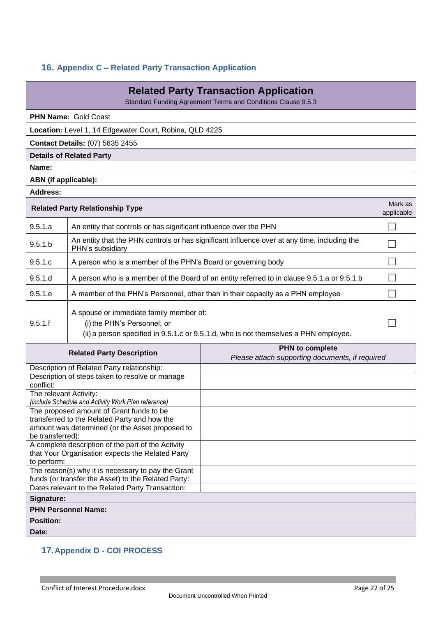# <span id="page-21-0"></span>**16. Appendix C – Related Party Transaction Application**

| <b>Related Party Transaction Application</b><br>Standard Funding Agreement Terms and Conditions Clause 9.5.3                                |                                                                                                                                                                |                                                                                              |            |  |  |  |
|---------------------------------------------------------------------------------------------------------------------------------------------|----------------------------------------------------------------------------------------------------------------------------------------------------------------|----------------------------------------------------------------------------------------------|------------|--|--|--|
|                                                                                                                                             |                                                                                                                                                                |                                                                                              |            |  |  |  |
|                                                                                                                                             | <b>PHN Name: Gold Coast</b>                                                                                                                                    |                                                                                              |            |  |  |  |
|                                                                                                                                             | Location: Level 1, 14 Edgewater Court, Robina, QLD 4225                                                                                                        |                                                                                              |            |  |  |  |
|                                                                                                                                             | <b>Contact Details: (07) 5635 2455</b>                                                                                                                         |                                                                                              |            |  |  |  |
|                                                                                                                                             | <b>Details of Related Party</b>                                                                                                                                |                                                                                              |            |  |  |  |
| Name:                                                                                                                                       |                                                                                                                                                                |                                                                                              |            |  |  |  |
| ABN (if applicable):<br><b>Address:</b>                                                                                                     |                                                                                                                                                                |                                                                                              |            |  |  |  |
|                                                                                                                                             |                                                                                                                                                                |                                                                                              | Mark as    |  |  |  |
|                                                                                                                                             | <b>Related Party Relationship Type</b>                                                                                                                         |                                                                                              | applicable |  |  |  |
| 9.5.1.a                                                                                                                                     | An entity that controls or has significant influence over the PHN                                                                                              |                                                                                              |            |  |  |  |
| 9.5.1.b                                                                                                                                     | PHN's subsidiary                                                                                                                                               | An entity that the PHN controls or has significant influence over at any time, including the |            |  |  |  |
| 9.5.1.c                                                                                                                                     | A person who is a member of the PHN's Board or governing body                                                                                                  |                                                                                              |            |  |  |  |
| 9.5.1.d                                                                                                                                     |                                                                                                                                                                | A person who is a member of the Board of an entity referred to in clause 9.5.1.a or 9.5.1.b  |            |  |  |  |
| 9.5.1.e                                                                                                                                     | A member of the PHN's Personnel, other than in their capacity as a PHN employee                                                                                |                                                                                              |            |  |  |  |
| 9.5.1.f                                                                                                                                     | A spouse or immediate family member of:<br>(i) the PHN's Personnel; or<br>(ii) a person specified in 9.5.1.c or 9.5.1.d, who is not themselves a PHN employee. |                                                                                              |            |  |  |  |
|                                                                                                                                             | <b>Related Party Description</b>                                                                                                                               | PHN to complete<br>Please attach supporting documents, if required                           |            |  |  |  |
|                                                                                                                                             | Description of Related Party relationship:                                                                                                                     |                                                                                              |            |  |  |  |
| conflict:                                                                                                                                   | Description of steps taken to resolve or manage                                                                                                                |                                                                                              |            |  |  |  |
| The relevant Activity:                                                                                                                      |                                                                                                                                                                |                                                                                              |            |  |  |  |
|                                                                                                                                             | (include Schedule and Activity Work Plan reference)                                                                                                            |                                                                                              |            |  |  |  |
| The proposed amount of Grant funds to be<br>transferred to the Related Party and how the<br>amount was determined (or the Asset proposed to |                                                                                                                                                                |                                                                                              |            |  |  |  |
| be transferred):                                                                                                                            |                                                                                                                                                                |                                                                                              |            |  |  |  |
|                                                                                                                                             | A complete description of the part of the Activity<br>that Your Organisation expects the Related Party                                                         |                                                                                              |            |  |  |  |
| to perform:                                                                                                                                 |                                                                                                                                                                |                                                                                              |            |  |  |  |
|                                                                                                                                             | The reason(s) why it is necessary to pay the Grant<br>funds (or transfer the Asset) to the Related Party:                                                      |                                                                                              |            |  |  |  |
| Dates relevant to the Related Party Transaction:                                                                                            |                                                                                                                                                                |                                                                                              |            |  |  |  |
| Signature:                                                                                                                                  |                                                                                                                                                                |                                                                                              |            |  |  |  |
|                                                                                                                                             | <b>PHN Personnel Name:</b>                                                                                                                                     |                                                                                              |            |  |  |  |
| <b>Position:</b>                                                                                                                            |                                                                                                                                                                |                                                                                              |            |  |  |  |
| Date:                                                                                                                                       |                                                                                                                                                                |                                                                                              |            |  |  |  |

# <span id="page-21-1"></span>**17.Appendix D - COI PROCESS**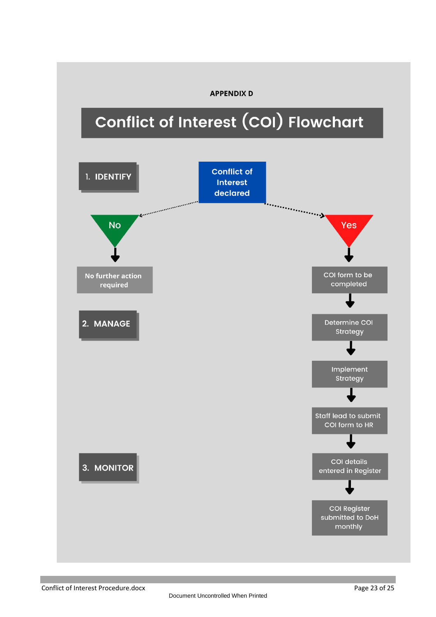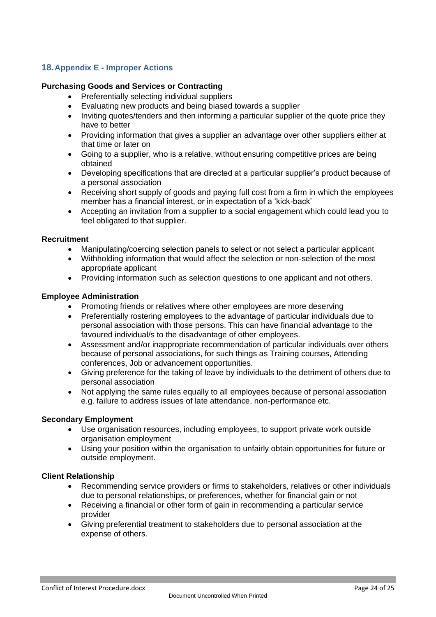# <span id="page-23-0"></span>**18.Appendix E - Improper Actions**

#### **Purchasing Goods and Services or Contracting**

- Preferentially selecting individual suppliers
- Evaluating new products and being biased towards a supplier
- Inviting quotes/tenders and then informing a particular supplier of the quote price they have to better
- Providing information that gives a supplier an advantage over other suppliers either at that time or later on
- Going to a supplier, who is a relative, without ensuring competitive prices are being obtained
- Developing specifications that are directed at a particular supplier's product because of a personal association
- Receiving short supply of goods and paying full cost from a firm in which the employees member has a financial interest, or in expectation of a 'kick-back'
- Accepting an invitation from a supplier to a social engagement which could lead you to feel obligated to that supplier.

#### **Recruitment**

- Manipulating/coercing selection panels to select or not select a particular applicant
- Withholding information that would affect the selection or non-selection of the most appropriate applicant
- Providing information such as selection questions to one applicant and not others.

#### **Employee Administration**

- Promoting friends or relatives where other employees are more deserving
- Preferentially rostering employees to the advantage of particular individuals due to personal association with those persons. This can have financial advantage to the favoured individual/s to the disadvantage of other employees.
- Assessment and/or inappropriate recommendation of particular individuals over others because of personal associations, for such things as Training courses, Attending conferences, Job or advancement opportunities.
- Giving preference for the taking of leave by individuals to the detriment of others due to personal association
- Not applying the same rules equally to all employees because of personal association e.g. failure to address issues of late attendance, non-performance etc.

#### **Secondary Employment**

- Use organisation resources, including employees, to support private work outside organisation employment
- Using your position within the organisation to unfairly obtain opportunities for future or outside employment.

#### **Client Relationship**

- Recommending service providers or firms to stakeholders, relatives or other individuals due to personal relationships, or preferences, whether for financial gain or not
- Receiving a financial or other form of gain in recommending a particular service provider
- Giving preferential treatment to stakeholders due to personal association at the expense of others.